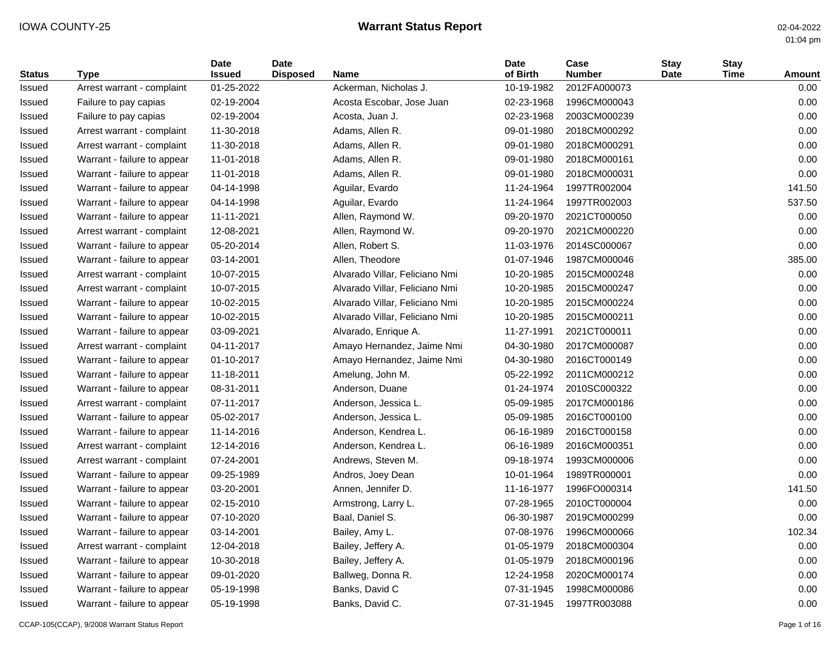| <b>Status</b> | <b>Type</b>                 | <b>Date</b><br><b>Issued</b> | <b>Date</b><br><b>Disposed</b> | <b>Name</b>                    | <b>Date</b><br>of Birth | Case<br><b>Number</b> | <b>Stay</b><br><b>Date</b> | <b>Stay</b><br><b>Time</b> | <b>Amount</b> |
|---------------|-----------------------------|------------------------------|--------------------------------|--------------------------------|-------------------------|-----------------------|----------------------------|----------------------------|---------------|
| Issued        | Arrest warrant - complaint  | 01-25-2022                   |                                | Ackerman, Nicholas J.          | 10-19-1982              | 2012FA000073          |                            |                            | 0.00          |
| Issued        | Failure to pay capias       | 02-19-2004                   |                                | Acosta Escobar, Jose Juan      | 02-23-1968              | 1996CM000043          |                            |                            | 0.00          |
| Issued        | Failure to pay capias       | 02-19-2004                   |                                | Acosta, Juan J.                | 02-23-1968              | 2003CM000239          |                            |                            | 0.00          |
| Issued        | Arrest warrant - complaint  | 11-30-2018                   |                                | Adams, Allen R.                | 09-01-1980              | 2018CM000292          |                            |                            | 0.00          |
| Issued        | Arrest warrant - complaint  | 11-30-2018                   |                                | Adams, Allen R.                | 09-01-1980              | 2018CM000291          |                            |                            | 0.00          |
| Issued        | Warrant - failure to appear | 11-01-2018                   |                                | Adams, Allen R.                | 09-01-1980              | 2018CM000161          |                            |                            | 0.00          |
| Issued        | Warrant - failure to appear | 11-01-2018                   |                                | Adams, Allen R.                | 09-01-1980              | 2018CM000031          |                            |                            | 0.00          |
| Issued        | Warrant - failure to appear | 04-14-1998                   |                                | Aguilar, Evardo                | 11-24-1964              | 1997TR002004          |                            |                            | 141.50        |
| Issued        | Warrant - failure to appear | 04-14-1998                   |                                | Aguilar, Evardo                | 11-24-1964              | 1997TR002003          |                            |                            | 537.50        |
| Issued        | Warrant - failure to appear | 11-11-2021                   |                                | Allen, Raymond W.              | 09-20-1970              | 2021CT000050          |                            |                            | 0.00          |
| Issued        | Arrest warrant - complaint  | 12-08-2021                   |                                | Allen, Raymond W.              | 09-20-1970              | 2021CM000220          |                            |                            | 0.00          |
| Issued        | Warrant - failure to appear | 05-20-2014                   |                                | Allen, Robert S.               | 11-03-1976              | 2014SC000067          |                            |                            | 0.00          |
| Issued        | Warrant - failure to appear | 03-14-2001                   |                                | Allen, Theodore                | 01-07-1946              | 1987CM000046          |                            |                            | 385.00        |
| Issued        | Arrest warrant - complaint  | 10-07-2015                   |                                | Alvarado Villar, Feliciano Nmi | 10-20-1985              | 2015CM000248          |                            |                            | 0.00          |
| Issued        | Arrest warrant - complaint  | 10-07-2015                   |                                | Alvarado Villar, Feliciano Nmi | 10-20-1985              | 2015CM000247          |                            |                            | 0.00          |
| Issued        | Warrant - failure to appear | 10-02-2015                   |                                | Alvarado Villar, Feliciano Nmi | 10-20-1985              | 2015CM000224          |                            |                            | 0.00          |
| Issued        | Warrant - failure to appear | 10-02-2015                   |                                | Alvarado Villar, Feliciano Nmi | 10-20-1985              | 2015CM000211          |                            |                            | 0.00          |
| Issued        | Warrant - failure to appear | 03-09-2021                   |                                | Alvarado, Enrique A.           | 11-27-1991              | 2021CT000011          |                            |                            | 0.00          |
| Issued        | Arrest warrant - complaint  | 04-11-2017                   |                                | Amayo Hernandez, Jaime Nmi     | 04-30-1980              | 2017CM000087          |                            |                            | 0.00          |
| Issued        | Warrant - failure to appear | 01-10-2017                   |                                | Amayo Hernandez, Jaime Nmi     | 04-30-1980              | 2016CT000149          |                            |                            | 0.00          |
| Issued        | Warrant - failure to appear | 11-18-2011                   |                                | Amelung, John M.               | 05-22-1992              | 2011CM000212          |                            |                            | 0.00          |
| Issued        | Warrant - failure to appear | 08-31-2011                   |                                | Anderson, Duane                | 01-24-1974              | 2010SC000322          |                            |                            | 0.00          |
| Issued        | Arrest warrant - complaint  | 07-11-2017                   |                                | Anderson, Jessica L.           | 05-09-1985              | 2017CM000186          |                            |                            | 0.00          |
| Issued        | Warrant - failure to appear | 05-02-2017                   |                                | Anderson, Jessica L.           | 05-09-1985              | 2016CT000100          |                            |                            | 0.00          |
| Issued        | Warrant - failure to appear | 11-14-2016                   |                                | Anderson, Kendrea L.           | 06-16-1989              | 2016CT000158          |                            |                            | 0.00          |
| Issued        | Arrest warrant - complaint  | 12-14-2016                   |                                | Anderson, Kendrea L.           | 06-16-1989              | 2016CM000351          |                            |                            | 0.00          |
| Issued        | Arrest warrant - complaint  | 07-24-2001                   |                                | Andrews, Steven M.             | 09-18-1974              | 1993CM000006          |                            |                            | 0.00          |
| Issued        | Warrant - failure to appear | 09-25-1989                   |                                | Andros, Joey Dean              | 10-01-1964              | 1989TR000001          |                            |                            | 0.00          |
| Issued        | Warrant - failure to appear | 03-20-2001                   |                                | Annen, Jennifer D.             | 11-16-1977              | 1996FO000314          |                            |                            | 141.50        |
| Issued        | Warrant - failure to appear | 02-15-2010                   |                                | Armstrong, Larry L.            | 07-28-1965              | 2010CT000004          |                            |                            | 0.00          |
| Issued        | Warrant - failure to appear | 07-10-2020                   |                                | Baal, Daniel S.                | 06-30-1987              | 2019CM000299          |                            |                            | 0.00          |
| Issued        | Warrant - failure to appear | 03-14-2001                   |                                | Bailey, Amy L.                 | 07-08-1976              | 1996CM000066          |                            |                            | 102.34        |
| Issued        | Arrest warrant - complaint  | 12-04-2018                   |                                | Bailey, Jeffery A.             | 01-05-1979              | 2018CM000304          |                            |                            | 0.00          |
| Issued        | Warrant - failure to appear | 10-30-2018                   |                                | Bailey, Jeffery A.             | 01-05-1979              | 2018CM000196          |                            |                            | 0.00          |
| Issued        | Warrant - failure to appear | 09-01-2020                   |                                | Ballweg, Donna R.              | 12-24-1958              | 2020CM000174          |                            |                            | 0.00          |
| Issued        | Warrant - failure to appear | 05-19-1998                   |                                | Banks, David C                 | 07-31-1945              | 1998CM000086          |                            |                            | 0.00          |
| Issued        | Warrant - failure to appear | 05-19-1998                   |                                | Banks, David C.                | 07-31-1945              | 1997TR003088          |                            |                            | 0.00          |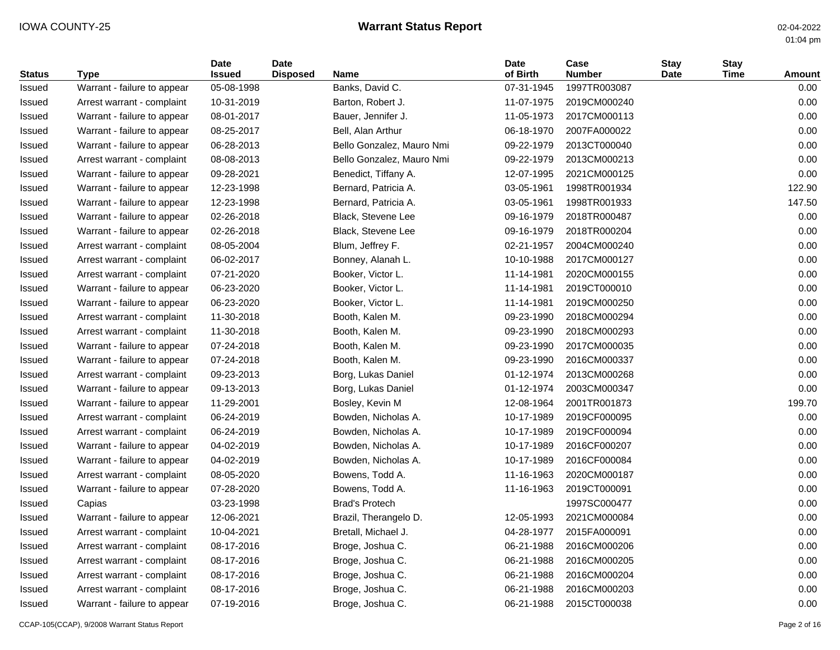| <b>Status</b> | <b>Type</b>                 | <b>Date</b><br><b>Issued</b> | <b>Date</b><br><b>Disposed</b> | <b>Name</b>               | <b>Date</b><br>of Birth | Case<br><b>Number</b> | <b>Stay</b><br>Date | <b>Stay</b><br><b>Time</b> | <b>Amount</b> |
|---------------|-----------------------------|------------------------------|--------------------------------|---------------------------|-------------------------|-----------------------|---------------------|----------------------------|---------------|
| Issued        | Warrant - failure to appear | 05-08-1998                   |                                | Banks, David C.           | 07-31-1945              | 1997TR003087          |                     |                            | 0.00          |
| Issued        | Arrest warrant - complaint  | 10-31-2019                   |                                | Barton, Robert J.         | 11-07-1975              | 2019CM000240          |                     |                            | 0.00          |
| Issued        | Warrant - failure to appear | 08-01-2017                   |                                | Bauer, Jennifer J.        | 11-05-1973              | 2017CM000113          |                     |                            | 0.00          |
| Issued        | Warrant - failure to appear | 08-25-2017                   |                                | Bell, Alan Arthur         | 06-18-1970              | 2007FA000022          |                     |                            | 0.00          |
| Issued        | Warrant - failure to appear | 06-28-2013                   |                                | Bello Gonzalez, Mauro Nmi | 09-22-1979              | 2013CT000040          |                     |                            | 0.00          |
| Issued        | Arrest warrant - complaint  | 08-08-2013                   |                                | Bello Gonzalez, Mauro Nmi | 09-22-1979              | 2013CM000213          |                     |                            | 0.00          |
| Issued        | Warrant - failure to appear | 09-28-2021                   |                                | Benedict, Tiffany A.      | 12-07-1995              | 2021CM000125          |                     |                            | 0.00          |
| Issued        | Warrant - failure to appear | 12-23-1998                   |                                | Bernard, Patricia A.      | 03-05-1961              | 1998TR001934          |                     |                            | 122.90        |
| Issued        | Warrant - failure to appear | 12-23-1998                   |                                | Bernard, Patricia A.      | 03-05-1961              | 1998TR001933          |                     |                            | 147.50        |
| Issued        | Warrant - failure to appear | 02-26-2018                   |                                | Black, Stevene Lee        | 09-16-1979              | 2018TR000487          |                     |                            | 0.00          |
| Issued        | Warrant - failure to appear | 02-26-2018                   |                                | Black, Stevene Lee        | 09-16-1979              | 2018TR000204          |                     |                            | 0.00          |
| Issued        | Arrest warrant - complaint  | 08-05-2004                   |                                | Blum, Jeffrey F.          | 02-21-1957              | 2004CM000240          |                     |                            | 0.00          |
| Issued        | Arrest warrant - complaint  | 06-02-2017                   |                                | Bonney, Alanah L.         | 10-10-1988              | 2017CM000127          |                     |                            | 0.00          |
| Issued        | Arrest warrant - complaint  | 07-21-2020                   |                                | Booker, Victor L.         | 11-14-1981              | 2020CM000155          |                     |                            | 0.00          |
| Issued        | Warrant - failure to appear | 06-23-2020                   |                                | Booker, Victor L.         | 11-14-1981              | 2019CT000010          |                     |                            | 0.00          |
| Issued        | Warrant - failure to appear | 06-23-2020                   |                                | Booker, Victor L.         | 11-14-1981              | 2019CM000250          |                     |                            | 0.00          |
| Issued        | Arrest warrant - complaint  | 11-30-2018                   |                                | Booth, Kalen M.           | 09-23-1990              | 2018CM000294          |                     |                            | 0.00          |
| Issued        | Arrest warrant - complaint  | 11-30-2018                   |                                | Booth, Kalen M.           | 09-23-1990              | 2018CM000293          |                     |                            | 0.00          |
| Issued        | Warrant - failure to appear | 07-24-2018                   |                                | Booth, Kalen M.           | 09-23-1990              | 2017CM000035          |                     |                            | 0.00          |
| Issued        | Warrant - failure to appear | 07-24-2018                   |                                | Booth, Kalen M.           | 09-23-1990              | 2016CM000337          |                     |                            | 0.00          |
| Issued        | Arrest warrant - complaint  | 09-23-2013                   |                                | Borg, Lukas Daniel        | 01-12-1974              | 2013CM000268          |                     |                            | 0.00          |
| Issued        | Warrant - failure to appear | 09-13-2013                   |                                | Borg, Lukas Daniel        | 01-12-1974              | 2003CM000347          |                     |                            | 0.00          |
| Issued        | Warrant - failure to appear | 11-29-2001                   |                                | Bosley, Kevin M           | 12-08-1964              | 2001TR001873          |                     |                            | 199.70        |
| Issued        | Arrest warrant - complaint  | 06-24-2019                   |                                | Bowden, Nicholas A.       | 10-17-1989              | 2019CF000095          |                     |                            | 0.00          |
| Issued        | Arrest warrant - complaint  | 06-24-2019                   |                                | Bowden, Nicholas A.       | 10-17-1989              | 2019CF000094          |                     |                            | 0.00          |
| Issued        | Warrant - failure to appear | 04-02-2019                   |                                | Bowden, Nicholas A.       | 10-17-1989              | 2016CF000207          |                     |                            | 0.00          |
| Issued        | Warrant - failure to appear | 04-02-2019                   |                                | Bowden, Nicholas A.       | 10-17-1989              | 2016CF000084          |                     |                            | 0.00          |
| Issued        | Arrest warrant - complaint  | 08-05-2020                   |                                | Bowens, Todd A.           | 11-16-1963              | 2020CM000187          |                     |                            | 0.00          |
| Issued        | Warrant - failure to appear | 07-28-2020                   |                                | Bowens, Todd A.           | 11-16-1963              | 2019CT000091          |                     |                            | 0.00          |
| Issued        | Capias                      | 03-23-1998                   |                                | <b>Brad's Protech</b>     |                         | 1997SC000477          |                     |                            | 0.00          |
| Issued        | Warrant - failure to appear | 12-06-2021                   |                                | Brazil, Therangelo D.     | 12-05-1993              | 2021CM000084          |                     |                            | 0.00          |
| Issued        | Arrest warrant - complaint  | 10-04-2021                   |                                | Bretall, Michael J.       | 04-28-1977              | 2015FA000091          |                     |                            | 0.00          |
| Issued        | Arrest warrant - complaint  | 08-17-2016                   |                                | Broge, Joshua C.          | 06-21-1988              | 2016CM000206          |                     |                            | 0.00          |
| Issued        | Arrest warrant - complaint  | 08-17-2016                   |                                | Broge, Joshua C.          | 06-21-1988              | 2016CM000205          |                     |                            | 0.00          |
| Issued        | Arrest warrant - complaint  | 08-17-2016                   |                                | Broge, Joshua C.          | 06-21-1988              | 2016CM000204          |                     |                            | 0.00          |
| Issued        | Arrest warrant - complaint  | 08-17-2016                   |                                | Broge, Joshua C.          | 06-21-1988              | 2016CM000203          |                     |                            | 0.00          |
| Issued        | Warrant - failure to appear | 07-19-2016                   |                                | Broge, Joshua C.          | 06-21-1988              | 2015CT000038          |                     |                            | 0.00          |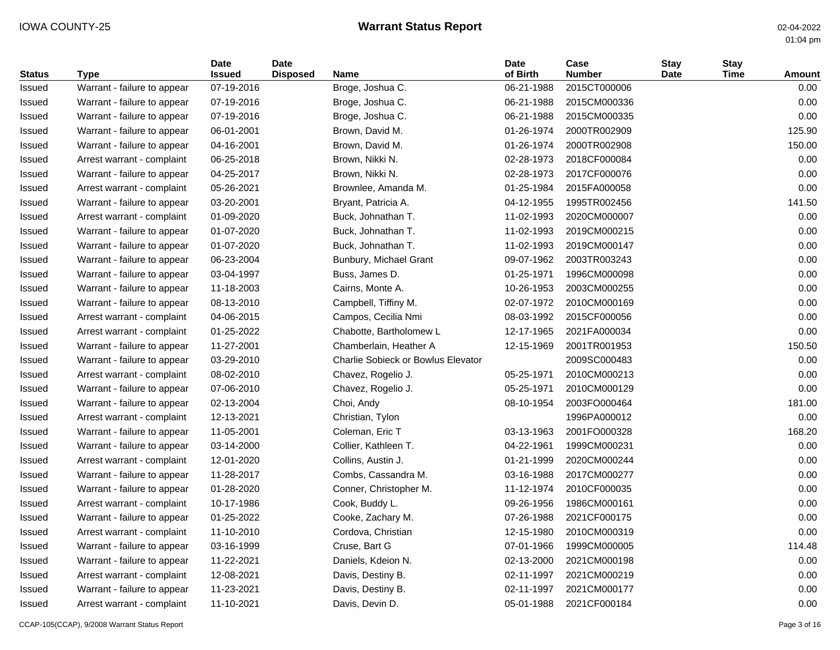| <b>Status</b> | <b>Type</b>                 | <b>Date</b><br><b>Issued</b> | <b>Date</b><br><b>Disposed</b> | <b>Name</b>                               | <b>Date</b><br>of Birth | Case<br><b>Number</b> | <b>Stay</b><br>Date | <b>Stay</b><br><b>Time</b> | <b>Amount</b> |
|---------------|-----------------------------|------------------------------|--------------------------------|-------------------------------------------|-------------------------|-----------------------|---------------------|----------------------------|---------------|
| Issued        | Warrant - failure to appear | 07-19-2016                   |                                | Broge, Joshua C.                          | 06-21-1988              | 2015CT000006          |                     |                            | 0.00          |
| Issued        | Warrant - failure to appear | 07-19-2016                   |                                | Broge, Joshua C.                          | 06-21-1988              | 2015CM000336          |                     |                            | 0.00          |
| Issued        | Warrant - failure to appear | 07-19-2016                   |                                | Broge, Joshua C.                          | 06-21-1988              | 2015CM000335          |                     |                            | 0.00          |
| Issued        | Warrant - failure to appear | 06-01-2001                   |                                | Brown, David M.                           | 01-26-1974              | 2000TR002909          |                     |                            | 125.90        |
| Issued        | Warrant - failure to appear | 04-16-2001                   |                                | Brown, David M.                           | 01-26-1974              | 2000TR002908          |                     |                            | 150.00        |
| Issued        | Arrest warrant - complaint  | 06-25-2018                   |                                | Brown, Nikki N.                           | 02-28-1973              | 2018CF000084          |                     |                            | 0.00          |
| Issued        | Warrant - failure to appear | 04-25-2017                   |                                | Brown, Nikki N.                           | 02-28-1973              | 2017CF000076          |                     |                            | 0.00          |
| Issued        | Arrest warrant - complaint  | 05-26-2021                   |                                | Brownlee, Amanda M.                       | 01-25-1984              | 2015FA000058          |                     |                            | 0.00          |
| Issued        | Warrant - failure to appear | 03-20-2001                   |                                | Bryant, Patricia A.                       | 04-12-1955              | 1995TR002456          |                     |                            | 141.50        |
| Issued        | Arrest warrant - complaint  | 01-09-2020                   |                                | Buck, Johnathan T.                        | 11-02-1993              | 2020CM000007          |                     |                            | 0.00          |
| Issued        | Warrant - failure to appear | 01-07-2020                   |                                | Buck, Johnathan T.                        | 11-02-1993              | 2019CM000215          |                     |                            | 0.00          |
| Issued        | Warrant - failure to appear | 01-07-2020                   |                                | Buck, Johnathan T.                        | 11-02-1993              | 2019CM000147          |                     |                            | 0.00          |
| Issued        | Warrant - failure to appear | 06-23-2004                   |                                | Bunbury, Michael Grant                    | 09-07-1962              | 2003TR003243          |                     |                            | 0.00          |
| Issued        | Warrant - failure to appear | 03-04-1997                   |                                | Buss, James D.                            | 01-25-1971              | 1996CM000098          |                     |                            | 0.00          |
| Issued        | Warrant - failure to appear | 11-18-2003                   |                                | Cairns, Monte A.                          | 10-26-1953              | 2003CM000255          |                     |                            | 0.00          |
| Issued        | Warrant - failure to appear | 08-13-2010                   |                                | Campbell, Tiffiny M.                      | 02-07-1972              | 2010CM000169          |                     |                            | 0.00          |
| Issued        | Arrest warrant - complaint  | 04-06-2015                   |                                | Campos, Cecilia Nmi                       | 08-03-1992              | 2015CF000056          |                     |                            | 0.00          |
| Issued        | Arrest warrant - complaint  | 01-25-2022                   |                                | Chabotte, Bartholomew L                   | 12-17-1965              | 2021FA000034          |                     |                            | 0.00          |
| Issued        | Warrant - failure to appear | 11-27-2001                   |                                | Chamberlain, Heather A                    | 12-15-1969              | 2001TR001953          |                     |                            | 150.50        |
| Issued        | Warrant - failure to appear | 03-29-2010                   |                                | <b>Charlie Sobieck or Bowlus Elevator</b> |                         | 2009SC000483          |                     |                            | 0.00          |
| Issued        | Arrest warrant - complaint  | 08-02-2010                   |                                | Chavez, Rogelio J.                        | 05-25-1971              | 2010CM000213          |                     |                            | 0.00          |
| Issued        | Warrant - failure to appear | 07-06-2010                   |                                | Chavez, Rogelio J.                        | 05-25-1971              | 2010CM000129          |                     |                            | 0.00          |
| Issued        | Warrant - failure to appear | 02-13-2004                   |                                | Choi, Andy                                | 08-10-1954              | 2003FO000464          |                     |                            | 181.00        |
| Issued        | Arrest warrant - complaint  | 12-13-2021                   |                                | Christian, Tylon                          |                         | 1996PA000012          |                     |                            | 0.00          |
| Issued        | Warrant - failure to appear | 11-05-2001                   |                                | Coleman, Eric T                           | 03-13-1963              | 2001FO000328          |                     |                            | 168.20        |
| Issued        | Warrant - failure to appear | 03-14-2000                   |                                | Collier, Kathleen T.                      | 04-22-1961              | 1999CM000231          |                     |                            | 0.00          |
| Issued        | Arrest warrant - complaint  | 12-01-2020                   |                                | Collins, Austin J.                        | 01-21-1999              | 2020CM000244          |                     |                            | 0.00          |
| Issued        | Warrant - failure to appear | 11-28-2017                   |                                | Combs, Cassandra M.                       | 03-16-1988              | 2017CM000277          |                     |                            | 0.00          |
| Issued        | Warrant - failure to appear | 01-28-2020                   |                                | Conner, Christopher M.                    | 11-12-1974              | 2010CF000035          |                     |                            | 0.00          |
| Issued        | Arrest warrant - complaint  | 10-17-1986                   |                                | Cook, Buddy L.                            | 09-26-1956              | 1986CM000161          |                     |                            | 0.00          |
| Issued        | Warrant - failure to appear | 01-25-2022                   |                                | Cooke, Zachary M.                         | 07-26-1988              | 2021CF000175          |                     |                            | 0.00          |
| Issued        | Arrest warrant - complaint  | 11-10-2010                   |                                | Cordova, Christian                        | 12-15-1980              | 2010CM000319          |                     |                            | 0.00          |
| Issued        | Warrant - failure to appear | 03-16-1999                   |                                | Cruse, Bart G                             | 07-01-1966              | 1999CM000005          |                     |                            | 114.48        |
| Issued        | Warrant - failure to appear | 11-22-2021                   |                                | Daniels, Kdeion N.                        | 02-13-2000              | 2021CM000198          |                     |                            | 0.00          |
| Issued        | Arrest warrant - complaint  | 12-08-2021                   |                                | Davis, Destiny B.                         | 02-11-1997              | 2021CM000219          |                     |                            | 0.00          |
| Issued        | Warrant - failure to appear | 11-23-2021                   |                                | Davis, Destiny B.                         | 02-11-1997              | 2021CM000177          |                     |                            | 0.00          |
| Issued        | Arrest warrant - complaint  | 11-10-2021                   |                                | Davis, Devin D.                           | 05-01-1988              | 2021CF000184          |                     |                            | 0.00          |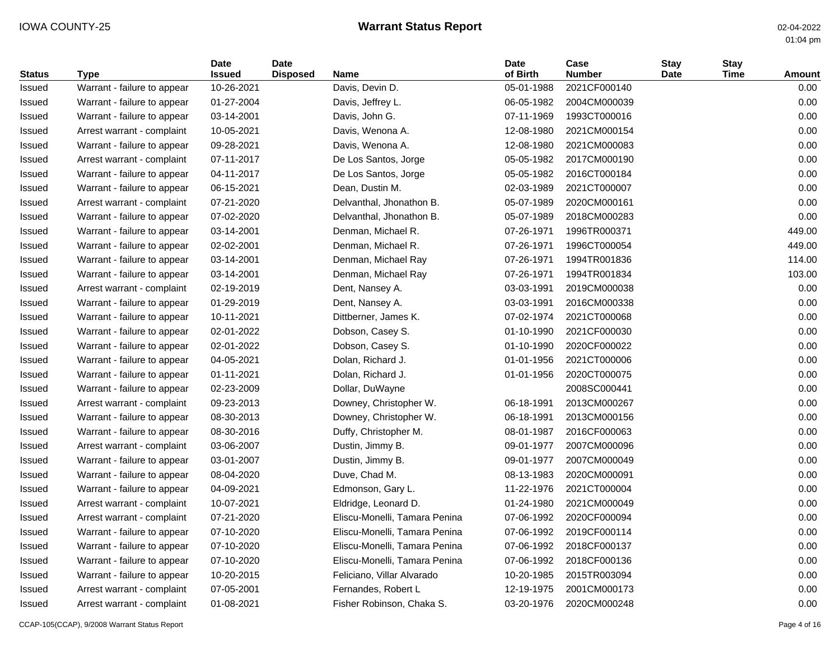| <b>Status</b> | Type                        | <b>Date</b><br>Issued | <b>Date</b><br><b>Disposed</b> | <b>Name</b>                   | <b>Date</b><br>of Birth | Case<br><b>Number</b> | <b>Stay</b><br>Date | <b>Stay</b><br><b>Time</b> | Amount |
|---------------|-----------------------------|-----------------------|--------------------------------|-------------------------------|-------------------------|-----------------------|---------------------|----------------------------|--------|
| Issued        | Warrant - failure to appear | 10-26-2021            |                                | Davis, Devin D.               | 05-01-1988              | 2021CF000140          |                     |                            | 0.00   |
| Issued        | Warrant - failure to appear | 01-27-2004            |                                | Davis, Jeffrey L.             | 06-05-1982              | 2004CM000039          |                     |                            | 0.00   |
| Issued        | Warrant - failure to appear | 03-14-2001            |                                | Davis, John G.                | 07-11-1969              | 1993CT000016          |                     |                            | 0.00   |
| Issued        | Arrest warrant - complaint  | 10-05-2021            |                                | Davis, Wenona A.              | 12-08-1980              | 2021CM000154          |                     |                            | 0.00   |
| Issued        | Warrant - failure to appear | 09-28-2021            |                                | Davis, Wenona A.              | 12-08-1980              | 2021CM000083          |                     |                            | 0.00   |
| Issued        | Arrest warrant - complaint  | 07-11-2017            |                                | De Los Santos, Jorge          | 05-05-1982              | 2017CM000190          |                     |                            | 0.00   |
| Issued        | Warrant - failure to appear | 04-11-2017            |                                | De Los Santos, Jorge          | 05-05-1982              | 2016CT000184          |                     |                            | 0.00   |
| <b>Issued</b> | Warrant - failure to appear | 06-15-2021            |                                | Dean, Dustin M.               | 02-03-1989              | 2021CT000007          |                     |                            | 0.00   |
| Issued        | Arrest warrant - complaint  | 07-21-2020            |                                | Delvanthal, Jhonathon B.      | 05-07-1989              | 2020CM000161          |                     |                            | 0.00   |
| Issued        | Warrant - failure to appear | 07-02-2020            |                                | Delvanthal, Jhonathon B.      | 05-07-1989              | 2018CM000283          |                     |                            | 0.00   |
| Issued        | Warrant - failure to appear | 03-14-2001            |                                | Denman, Michael R.            | 07-26-1971              | 1996TR000371          |                     |                            | 449.00 |
| Issued        | Warrant - failure to appear | 02-02-2001            |                                | Denman, Michael R.            | 07-26-1971              | 1996CT000054          |                     |                            | 449.00 |
| Issued        | Warrant - failure to appear | 03-14-2001            |                                | Denman, Michael Ray           | 07-26-1971              | 1994TR001836          |                     |                            | 114.00 |
| Issued        | Warrant - failure to appear | 03-14-2001            |                                | Denman, Michael Ray           | 07-26-1971              | 1994TR001834          |                     |                            | 103.00 |
| Issued        | Arrest warrant - complaint  | 02-19-2019            |                                | Dent, Nansey A.               | 03-03-1991              | 2019CM000038          |                     |                            | 0.00   |
| <b>Issued</b> | Warrant - failure to appear | 01-29-2019            |                                | Dent, Nansey A.               | 03-03-1991              | 2016CM000338          |                     |                            | 0.00   |
| Issued        | Warrant - failure to appear | 10-11-2021            |                                | Dittberner, James K.          | 07-02-1974              | 2021CT000068          |                     |                            | 0.00   |
| Issued        | Warrant - failure to appear | 02-01-2022            |                                | Dobson, Casey S.              | 01-10-1990              | 2021CF000030          |                     |                            | 0.00   |
| Issued        | Warrant - failure to appear | 02-01-2022            |                                | Dobson, Casey S.              | 01-10-1990              | 2020CF000022          |                     |                            | 0.00   |
| Issued        | Warrant - failure to appear | 04-05-2021            |                                | Dolan, Richard J.             | 01-01-1956              | 2021CT000006          |                     |                            | 0.00   |
| Issued        | Warrant - failure to appear | 01-11-2021            |                                | Dolan, Richard J.             | 01-01-1956              | 2020CT000075          |                     |                            | 0.00   |
| Issued        | Warrant - failure to appear | 02-23-2009            |                                | Dollar, DuWayne               |                         | 2008SC000441          |                     |                            | 0.00   |
| Issued        | Arrest warrant - complaint  | 09-23-2013            |                                | Downey, Christopher W.        | 06-18-1991              | 2013CM000267          |                     |                            | 0.00   |
| <b>Issued</b> | Warrant - failure to appear | 08-30-2013            |                                | Downey, Christopher W.        | 06-18-1991              | 2013CM000156          |                     |                            | 0.00   |
| Issued        | Warrant - failure to appear | 08-30-2016            |                                | Duffy, Christopher M.         | 08-01-1987              | 2016CF000063          |                     |                            | 0.00   |
| Issued        | Arrest warrant - complaint  | 03-06-2007            |                                | Dustin, Jimmy B.              | 09-01-1977              | 2007CM000096          |                     |                            | 0.00   |
| Issued        | Warrant - failure to appear | 03-01-2007            |                                | Dustin, Jimmy B.              | 09-01-1977              | 2007CM000049          |                     |                            | 0.00   |
| Issued        | Warrant - failure to appear | 08-04-2020            |                                | Duve, Chad M.                 | 08-13-1983              | 2020CM000091          |                     |                            | 0.00   |
| Issued        | Warrant - failure to appear | 04-09-2021            |                                | Edmonson, Gary L.             | 11-22-1976              | 2021CT000004          |                     |                            | 0.00   |
| Issued        | Arrest warrant - complaint  | 10-07-2021            |                                | Eldridge, Leonard D.          | 01-24-1980              | 2021CM000049          |                     |                            | 0.00   |
| Issued        | Arrest warrant - complaint  | 07-21-2020            |                                | Eliscu-Monelli, Tamara Penina | 07-06-1992              | 2020CF000094          |                     |                            | 0.00   |
| Issued        | Warrant - failure to appear | 07-10-2020            |                                | Eliscu-Monelli, Tamara Penina | 07-06-1992              | 2019CF000114          |                     |                            | 0.00   |
| Issued        | Warrant - failure to appear | 07-10-2020            |                                | Eliscu-Monelli, Tamara Penina | 07-06-1992              | 2018CF000137          |                     |                            | 0.00   |
| Issued        | Warrant - failure to appear | 07-10-2020            |                                | Eliscu-Monelli, Tamara Penina | 07-06-1992              | 2018CF000136          |                     |                            | 0.00   |
| Issued        | Warrant - failure to appear | 10-20-2015            |                                | Feliciano, Villar Alvarado    | 10-20-1985              | 2015TR003094          |                     |                            | 0.00   |
| Issued        | Arrest warrant - complaint  | 07-05-2001            |                                | Fernandes, Robert L           | 12-19-1975              | 2001CM000173          |                     |                            | 0.00   |
| Issued        | Arrest warrant - complaint  | 01-08-2021            |                                | Fisher Robinson, Chaka S.     | 03-20-1976              | 2020CM000248          |                     |                            | 0.00   |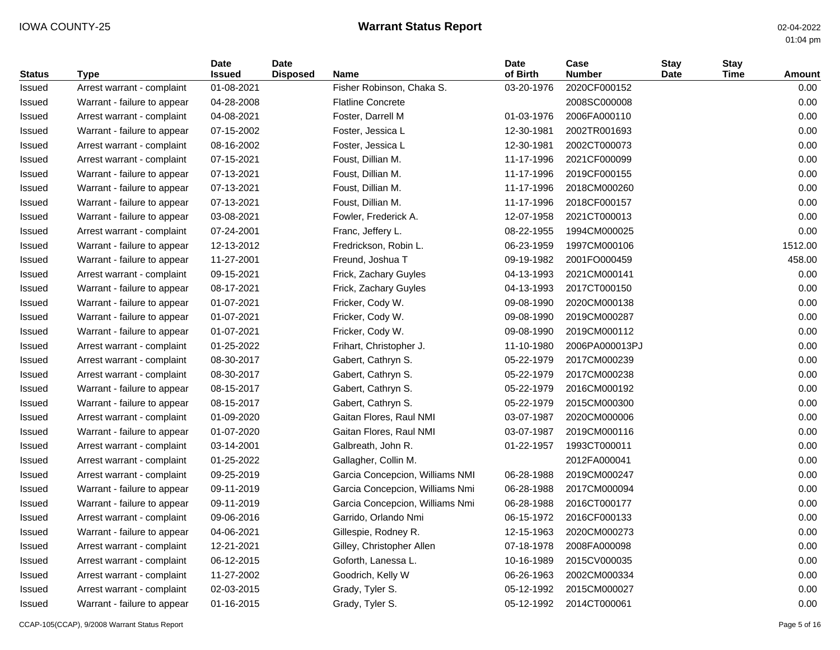| <b>Status</b> | <b>Type</b>                 | <b>Date</b><br><b>Issued</b> | <b>Date</b><br><b>Disposed</b> | <b>Name</b>                     | Date<br>of Birth | Case<br><b>Number</b> | <b>Stay</b><br>Date | <b>Stay</b><br><b>Time</b> | <b>Amount</b> |
|---------------|-----------------------------|------------------------------|--------------------------------|---------------------------------|------------------|-----------------------|---------------------|----------------------------|---------------|
| Issued        | Arrest warrant - complaint  | 01-08-2021                   |                                | Fisher Robinson, Chaka S.       | 03-20-1976       | 2020CF000152          |                     |                            | 0.00          |
| Issued        | Warrant - failure to appear | 04-28-2008                   |                                | <b>Flatline Concrete</b>        |                  | 2008SC000008          |                     |                            | 0.00          |
| Issued        | Arrest warrant - complaint  | 04-08-2021                   |                                | Foster, Darrell M               | 01-03-1976       | 2006FA000110          |                     |                            | 0.00          |
| Issued        | Warrant - failure to appear | 07-15-2002                   |                                | Foster, Jessica L               | 12-30-1981       | 2002TR001693          |                     |                            | 0.00          |
| Issued        | Arrest warrant - complaint  | 08-16-2002                   |                                | Foster, Jessica L               | 12-30-1981       | 2002CT000073          |                     |                            | 0.00          |
| Issued        | Arrest warrant - complaint  | 07-15-2021                   |                                | Foust, Dillian M.               | 11-17-1996       | 2021CF000099          |                     |                            | 0.00          |
| Issued        | Warrant - failure to appear | 07-13-2021                   |                                | Foust, Dillian M.               | 11-17-1996       | 2019CF000155          |                     |                            | 0.00          |
| Issued        | Warrant - failure to appear | 07-13-2021                   |                                | Foust, Dillian M.               | 11-17-1996       | 2018CM000260          |                     |                            | 0.00          |
| Issued        | Warrant - failure to appear | 07-13-2021                   |                                | Foust, Dillian M.               | 11-17-1996       | 2018CF000157          |                     |                            | 0.00          |
| Issued        | Warrant - failure to appear | 03-08-2021                   |                                | Fowler, Frederick A.            | 12-07-1958       | 2021CT000013          |                     |                            | 0.00          |
| Issued        | Arrest warrant - complaint  | 07-24-2001                   |                                | Franc, Jeffery L.               | 08-22-1955       | 1994CM000025          |                     |                            | 0.00          |
| Issued        | Warrant - failure to appear | 12-13-2012                   |                                | Fredrickson, Robin L.           | 06-23-1959       | 1997CM000106          |                     |                            | 1512.00       |
| Issued        | Warrant - failure to appear | 11-27-2001                   |                                | Freund, Joshua T                | 09-19-1982       | 2001FO000459          |                     |                            | 458.00        |
| Issued        | Arrest warrant - complaint  | 09-15-2021                   |                                | Frick, Zachary Guyles           | 04-13-1993       | 2021CM000141          |                     |                            | 0.00          |
| Issued        | Warrant - failure to appear | 08-17-2021                   |                                | Frick, Zachary Guyles           | 04-13-1993       | 2017CT000150          |                     |                            | 0.00          |
| Issued        | Warrant - failure to appear | 01-07-2021                   |                                | Fricker, Cody W.                | 09-08-1990       | 2020CM000138          |                     |                            | 0.00          |
| Issued        | Warrant - failure to appear | 01-07-2021                   |                                | Fricker, Cody W.                | 09-08-1990       | 2019CM000287          |                     |                            | 0.00          |
| Issued        | Warrant - failure to appear | 01-07-2021                   |                                | Fricker, Cody W.                | 09-08-1990       | 2019CM000112          |                     |                            | 0.00          |
| Issued        | Arrest warrant - complaint  | 01-25-2022                   |                                | Frihart, Christopher J.         | 11-10-1980       | 2006PA000013PJ        |                     |                            | 0.00          |
| Issued        | Arrest warrant - complaint  | 08-30-2017                   |                                | Gabert, Cathryn S.              | 05-22-1979       | 2017CM000239          |                     |                            | 0.00          |
| Issued        | Arrest warrant - complaint  | 08-30-2017                   |                                | Gabert, Cathryn S.              | 05-22-1979       | 2017CM000238          |                     |                            | 0.00          |
| Issued        | Warrant - failure to appear | 08-15-2017                   |                                | Gabert, Cathryn S.              | 05-22-1979       | 2016CM000192          |                     |                            | 0.00          |
| Issued        | Warrant - failure to appear | 08-15-2017                   |                                | Gabert, Cathryn S.              | 05-22-1979       | 2015CM000300          |                     |                            | 0.00          |
| Issued        | Arrest warrant - complaint  | 01-09-2020                   |                                | Gaitan Flores, Raul NMI         | 03-07-1987       | 2020CM000006          |                     |                            | 0.00          |
| Issued        | Warrant - failure to appear | 01-07-2020                   |                                | Gaitan Flores, Raul NMI         | 03-07-1987       | 2019CM000116          |                     |                            | 0.00          |
| Issued        | Arrest warrant - complaint  | 03-14-2001                   |                                | Galbreath, John R.              | 01-22-1957       | 1993CT000011          |                     |                            | 0.00          |
| Issued        | Arrest warrant - complaint  | 01-25-2022                   |                                | Gallagher, Collin M.            |                  | 2012FA000041          |                     |                            | 0.00          |
| Issued        | Arrest warrant - complaint  | 09-25-2019                   |                                | Garcia Concepcion, Williams NMI | 06-28-1988       | 2019CM000247          |                     |                            | 0.00          |
| Issued        | Warrant - failure to appear | 09-11-2019                   |                                | Garcia Concepcion, Williams Nmi | 06-28-1988       | 2017CM000094          |                     |                            | 0.00          |
| Issued        | Warrant - failure to appear | 09-11-2019                   |                                | Garcia Concepcion, Williams Nmi | 06-28-1988       | 2016CT000177          |                     |                            | 0.00          |
| Issued        | Arrest warrant - complaint  | 09-06-2016                   |                                | Garrido, Orlando Nmi            | 06-15-1972       | 2016CF000133          |                     |                            | 0.00          |
| Issued        | Warrant - failure to appear | 04-06-2021                   |                                | Gillespie, Rodney R.            | 12-15-1963       | 2020CM000273          |                     |                            | 0.00          |
| Issued        | Arrest warrant - complaint  | 12-21-2021                   |                                | Gilley, Christopher Allen       | 07-18-1978       | 2008FA000098          |                     |                            | 0.00          |
| Issued        | Arrest warrant - complaint  | 06-12-2015                   |                                | Goforth, Lanessa L.             | 10-16-1989       | 2015CV000035          |                     |                            | 0.00          |
| Issued        | Arrest warrant - complaint  | 11-27-2002                   |                                | Goodrich, Kelly W               | 06-26-1963       | 2002CM000334          |                     |                            | 0.00          |
| Issued        | Arrest warrant - complaint  | 02-03-2015                   |                                | Grady, Tyler S.                 | 05-12-1992       | 2015CM000027          |                     |                            | 0.00          |
| Issued        | Warrant - failure to appear | 01-16-2015                   |                                | Grady, Tyler S.                 | 05-12-1992       | 2014CT000061          |                     |                            | 0.00          |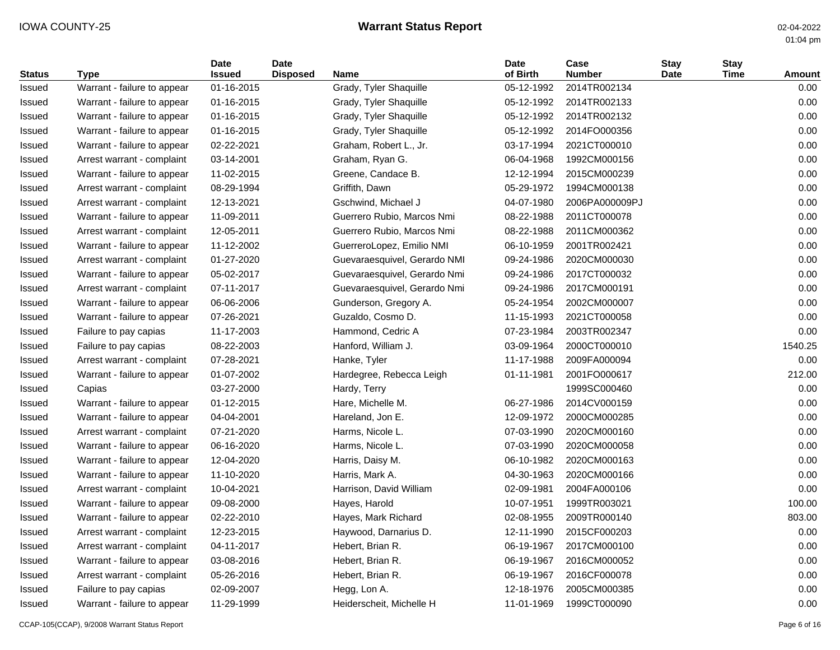| <b>Status</b> | <b>Type</b>                 | <b>Date</b><br><b>Issued</b> | <b>Date</b><br><b>Disposed</b> | <b>Name</b>                  | <b>Date</b><br>of Birth | Case<br><b>Number</b> | <b>Stay</b><br><b>Date</b> | <b>Stay</b><br>Time | <b>Amount</b> |
|---------------|-----------------------------|------------------------------|--------------------------------|------------------------------|-------------------------|-----------------------|----------------------------|---------------------|---------------|
| Issued        | Warrant - failure to appear | 01-16-2015                   |                                | Grady, Tyler Shaquille       | 05-12-1992              | 2014TR002134          |                            |                     | 0.00          |
| Issued        | Warrant - failure to appear | 01-16-2015                   |                                | Grady, Tyler Shaquille       | 05-12-1992              | 2014TR002133          |                            |                     | 0.00          |
| Issued        | Warrant - failure to appear | 01-16-2015                   |                                | Grady, Tyler Shaquille       | 05-12-1992              | 2014TR002132          |                            |                     | 0.00          |
| Issued        | Warrant - failure to appear | 01-16-2015                   |                                | Grady, Tyler Shaquille       | 05-12-1992              | 2014FO000356          |                            |                     | 0.00          |
| Issued        | Warrant - failure to appear | 02-22-2021                   |                                | Graham, Robert L., Jr.       | 03-17-1994              | 2021CT000010          |                            |                     | 0.00          |
| Issued        | Arrest warrant - complaint  | 03-14-2001                   |                                | Graham, Ryan G.              | 06-04-1968              | 1992CM000156          |                            |                     | 0.00          |
| Issued        | Warrant - failure to appear | 11-02-2015                   |                                | Greene, Candace B.           | 12-12-1994              | 2015CM000239          |                            |                     | 0.00          |
| Issued        | Arrest warrant - complaint  | 08-29-1994                   |                                | Griffith, Dawn               | 05-29-1972              | 1994CM000138          |                            |                     | 0.00          |
| Issued        | Arrest warrant - complaint  | 12-13-2021                   |                                | Gschwind, Michael J          | 04-07-1980              | 2006PA000009PJ        |                            |                     | 0.00          |
| Issued        | Warrant - failure to appear | 11-09-2011                   |                                | Guerrero Rubio, Marcos Nmi   | 08-22-1988              | 2011CT000078          |                            |                     | 0.00          |
| Issued        | Arrest warrant - complaint  | 12-05-2011                   |                                | Guerrero Rubio, Marcos Nmi   | 08-22-1988              | 2011CM000362          |                            |                     | 0.00          |
| Issued        | Warrant - failure to appear | 11-12-2002                   |                                | GuerreroLopez, Emilio NMI    | 06-10-1959              | 2001TR002421          |                            |                     | 0.00          |
| Issued        | Arrest warrant - complaint  | 01-27-2020                   |                                | Guevaraesquivel, Gerardo NMI | 09-24-1986              | 2020CM000030          |                            |                     | 0.00          |
| Issued        | Warrant - failure to appear | 05-02-2017                   |                                | Guevaraesquivel, Gerardo Nmi | 09-24-1986              | 2017CT000032          |                            |                     | 0.00          |
| Issued        | Arrest warrant - complaint  | 07-11-2017                   |                                | Guevaraesquivel, Gerardo Nmi | 09-24-1986              | 2017CM000191          |                            |                     | 0.00          |
| Issued        | Warrant - failure to appear | 06-06-2006                   |                                | Gunderson, Gregory A.        | 05-24-1954              | 2002CM000007          |                            |                     | 0.00          |
| Issued        | Warrant - failure to appear | 07-26-2021                   |                                | Guzaldo, Cosmo D.            | 11-15-1993              | 2021CT000058          |                            |                     | 0.00          |
| Issued        | Failure to pay capias       | 11-17-2003                   |                                | Hammond, Cedric A            | 07-23-1984              | 2003TR002347          |                            |                     | 0.00          |
| Issued        | Failure to pay capias       | 08-22-2003                   |                                | Hanford, William J.          | 03-09-1964              | 2000CT000010          |                            |                     | 1540.25       |
| Issued        | Arrest warrant - complaint  | 07-28-2021                   |                                | Hanke, Tyler                 | 11-17-1988              | 2009FA000094          |                            |                     | 0.00          |
| Issued        | Warrant - failure to appear | 01-07-2002                   |                                | Hardegree, Rebecca Leigh     | 01-11-1981              | 2001FO000617          |                            |                     | 212.00        |
| Issued        | Capias                      | 03-27-2000                   |                                | Hardy, Terry                 |                         | 1999SC000460          |                            |                     | 0.00          |
| Issued        | Warrant - failure to appear | 01-12-2015                   |                                | Hare, Michelle M.            | 06-27-1986              | 2014CV000159          |                            |                     | 0.00          |
| Issued        | Warrant - failure to appear | 04-04-2001                   |                                | Hareland, Jon E.             | 12-09-1972              | 2000CM000285          |                            |                     | 0.00          |
| Issued        | Arrest warrant - complaint  | 07-21-2020                   |                                | Harms, Nicole L.             | 07-03-1990              | 2020CM000160          |                            |                     | 0.00          |
| Issued        | Warrant - failure to appear | 06-16-2020                   |                                | Harms, Nicole L.             | 07-03-1990              | 2020CM000058          |                            |                     | 0.00          |
| Issued        | Warrant - failure to appear | 12-04-2020                   |                                | Harris, Daisy M.             | 06-10-1982              | 2020CM000163          |                            |                     | 0.00          |
| Issued        | Warrant - failure to appear | 11-10-2020                   |                                | Harris, Mark A.              | 04-30-1963              | 2020CM000166          |                            |                     | 0.00          |
| Issued        | Arrest warrant - complaint  | 10-04-2021                   |                                | Harrison, David William      | 02-09-1981              | 2004FA000106          |                            |                     | 0.00          |
| Issued        | Warrant - failure to appear | 09-08-2000                   |                                | Hayes, Harold                | 10-07-1951              | 1999TR003021          |                            |                     | 100.00        |
| Issued        | Warrant - failure to appear | 02-22-2010                   |                                | Hayes, Mark Richard          | 02-08-1955              | 2009TR000140          |                            |                     | 803.00        |
| Issued        | Arrest warrant - complaint  | 12-23-2015                   |                                | Haywood, Darnarius D.        | 12-11-1990              | 2015CF000203          |                            |                     | 0.00          |
| Issued        | Arrest warrant - complaint  | 04-11-2017                   |                                | Hebert, Brian R.             | 06-19-1967              | 2017CM000100          |                            |                     | 0.00          |
| Issued        | Warrant - failure to appear | 03-08-2016                   |                                | Hebert, Brian R.             | 06-19-1967              | 2016CM000052          |                            |                     | 0.00          |
| Issued        | Arrest warrant - complaint  | 05-26-2016                   |                                | Hebert, Brian R.             | 06-19-1967              | 2016CF000078          |                            |                     | 0.00          |
| Issued        | Failure to pay capias       | 02-09-2007                   |                                | Hegg, Lon A.                 | 12-18-1976              | 2005CM000385          |                            |                     | 0.00          |
| Issued        | Warrant - failure to appear | 11-29-1999                   |                                | Heiderscheit, Michelle H     | 11-01-1969              | 1999CT000090          |                            |                     | 0.00          |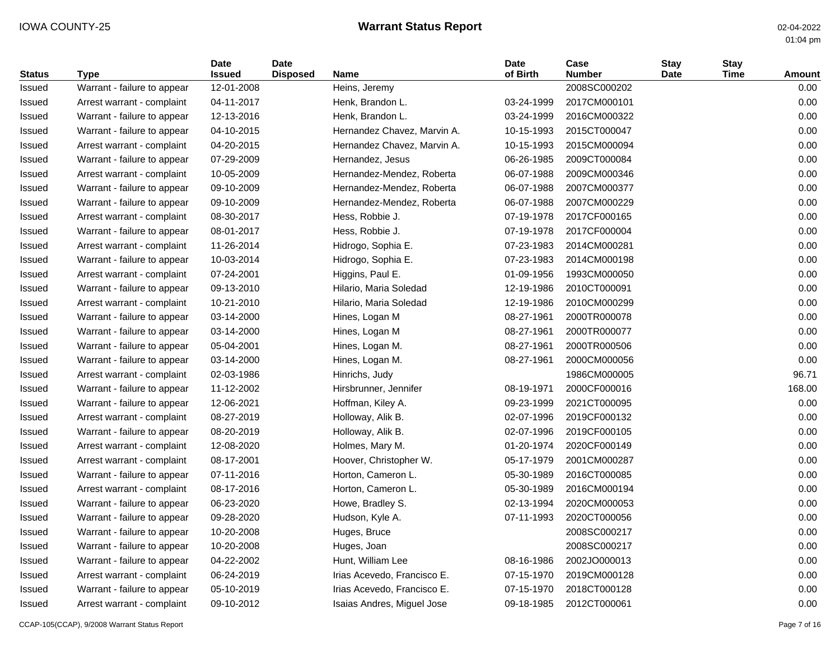01:04 pm

| <b>Status</b> | Type                        | <b>Date</b><br><b>Issued</b> | <b>Date</b><br><b>Disposed</b> | <b>Name</b>                 | <b>Date</b><br>of Birth | Case<br><b>Number</b> | <b>Stay</b><br>Date | <b>Stay</b><br><b>Time</b> | Amount |
|---------------|-----------------------------|------------------------------|--------------------------------|-----------------------------|-------------------------|-----------------------|---------------------|----------------------------|--------|
| Issued        | Warrant - failure to appear | 12-01-2008                   |                                | Heins, Jeremy               |                         | 2008SC000202          |                     |                            | 0.00   |
| Issued        | Arrest warrant - complaint  | 04-11-2017                   |                                | Henk, Brandon L.            | 03-24-1999              | 2017CM000101          |                     |                            | 0.00   |
| Issued        | Warrant - failure to appear | 12-13-2016                   |                                | Henk, Brandon L.            | 03-24-1999              | 2016CM000322          |                     |                            | 0.00   |
| Issued        | Warrant - failure to appear | 04-10-2015                   |                                | Hernandez Chavez, Marvin A. | 10-15-1993              | 2015CT000047          |                     |                            | 0.00   |
| Issued        | Arrest warrant - complaint  | 04-20-2015                   |                                | Hernandez Chavez, Marvin A. | 10-15-1993              | 2015CM000094          |                     |                            | 0.00   |
| Issued        | Warrant - failure to appear | 07-29-2009                   |                                | Hernandez, Jesus            | 06-26-1985              | 2009CT000084          |                     |                            | 0.00   |
| Issued        | Arrest warrant - complaint  | 10-05-2009                   |                                | Hernandez-Mendez, Roberta   | 06-07-1988              | 2009CM000346          |                     |                            | 0.00   |
| Issued        | Warrant - failure to appear | 09-10-2009                   |                                | Hernandez-Mendez, Roberta   | 06-07-1988              | 2007CM000377          |                     |                            | 0.00   |
| Issued        | Warrant - failure to appear | 09-10-2009                   |                                | Hernandez-Mendez, Roberta   | 06-07-1988              | 2007CM000229          |                     |                            | 0.00   |
| Issued        | Arrest warrant - complaint  | 08-30-2017                   |                                | Hess, Robbie J.             | 07-19-1978              | 2017CF000165          |                     |                            | 0.00   |
| Issued        | Warrant - failure to appear | 08-01-2017                   |                                | Hess, Robbie J.             | 07-19-1978              | 2017CF000004          |                     |                            | 0.00   |
| Issued        | Arrest warrant - complaint  | 11-26-2014                   |                                | Hidrogo, Sophia E.          | 07-23-1983              | 2014CM000281          |                     |                            | 0.00   |
| Issued        | Warrant - failure to appear | 10-03-2014                   |                                | Hidrogo, Sophia E.          | 07-23-1983              | 2014CM000198          |                     |                            | 0.00   |
| Issued        | Arrest warrant - complaint  | 07-24-2001                   |                                | Higgins, Paul E.            | 01-09-1956              | 1993CM000050          |                     |                            | 0.00   |
| Issued        | Warrant - failure to appear | 09-13-2010                   |                                | Hilario, Maria Soledad      | 12-19-1986              | 2010CT000091          |                     |                            | 0.00   |
| Issued        | Arrest warrant - complaint  | 10-21-2010                   |                                | Hilario, Maria Soledad      | 12-19-1986              | 2010CM000299          |                     |                            | 0.00   |
| Issued        | Warrant - failure to appear | 03-14-2000                   |                                | Hines, Logan M              | 08-27-1961              | 2000TR000078          |                     |                            | 0.00   |
| Issued        | Warrant - failure to appear | 03-14-2000                   |                                | Hines, Logan M              | 08-27-1961              | 2000TR000077          |                     |                            | 0.00   |
| Issued        | Warrant - failure to appear | 05-04-2001                   |                                | Hines, Logan M.             | 08-27-1961              | 2000TR000506          |                     |                            | 0.00   |
| Issued        | Warrant - failure to appear | 03-14-2000                   |                                | Hines, Logan M.             | 08-27-1961              | 2000CM000056          |                     |                            | 0.00   |
| Issued        | Arrest warrant - complaint  | 02-03-1986                   |                                | Hinrichs, Judy              |                         | 1986CM000005          |                     |                            | 96.71  |
| Issued        | Warrant - failure to appear | 11-12-2002                   |                                | Hirsbrunner, Jennifer       | 08-19-1971              | 2000CF000016          |                     |                            | 168.00 |
| Issued        | Warrant - failure to appear | 12-06-2021                   |                                | Hoffman, Kiley A.           | 09-23-1999              | 2021CT000095          |                     |                            | 0.00   |
| Issued        | Arrest warrant - complaint  | 08-27-2019                   |                                | Holloway, Alik B.           | 02-07-1996              | 2019CF000132          |                     |                            | 0.00   |
| Issued        | Warrant - failure to appear | 08-20-2019                   |                                | Holloway, Alik B.           | 02-07-1996              | 2019CF000105          |                     |                            | 0.00   |
| Issued        | Arrest warrant - complaint  | 12-08-2020                   |                                | Holmes, Mary M.             | 01-20-1974              | 2020CF000149          |                     |                            | 0.00   |
| Issued        | Arrest warrant - complaint  | 08-17-2001                   |                                | Hoover, Christopher W.      | 05-17-1979              | 2001CM000287          |                     |                            | 0.00   |
| Issued        | Warrant - failure to appear | 07-11-2016                   |                                | Horton, Cameron L.          | 05-30-1989              | 2016CT000085          |                     |                            | 0.00   |
| Issued        | Arrest warrant - complaint  | 08-17-2016                   |                                | Horton, Cameron L.          | 05-30-1989              | 2016CM000194          |                     |                            | 0.00   |
| Issued        | Warrant - failure to appear | 06-23-2020                   |                                | Howe, Bradley S.            | 02-13-1994              | 2020CM000053          |                     |                            | 0.00   |
| Issued        | Warrant - failure to appear | 09-28-2020                   |                                | Hudson, Kyle A.             | 07-11-1993              | 2020CT000056          |                     |                            | 0.00   |
| Issued        | Warrant - failure to appear | 10-20-2008                   |                                | Huges, Bruce                |                         | 2008SC000217          |                     |                            | 0.00   |
| Issued        | Warrant - failure to appear | 10-20-2008                   |                                | Huges, Joan                 |                         | 2008SC000217          |                     |                            | 0.00   |
| Issued        | Warrant - failure to appear | 04-22-2002                   |                                | Hunt, William Lee           | 08-16-1986              | 2002JO000013          |                     |                            | 0.00   |
| Issued        | Arrest warrant - complaint  | 06-24-2019                   |                                | Irias Acevedo, Francisco E. | 07-15-1970              | 2019CM000128          |                     |                            | 0.00   |
| Issued        | Warrant - failure to appear | 05-10-2019                   |                                | Irias Acevedo, Francisco E. | 07-15-1970              | 2018CT000128          |                     |                            | 0.00   |
| Issued        | Arrest warrant - complaint  | 09-10-2012                   |                                | Isaias Andres, Miguel Jose  | 09-18-1985              | 2012CT000061          |                     |                            | 0.00   |

CCAP-105(CCAP), 9/2008 Warrant Status Report Page 7 of 16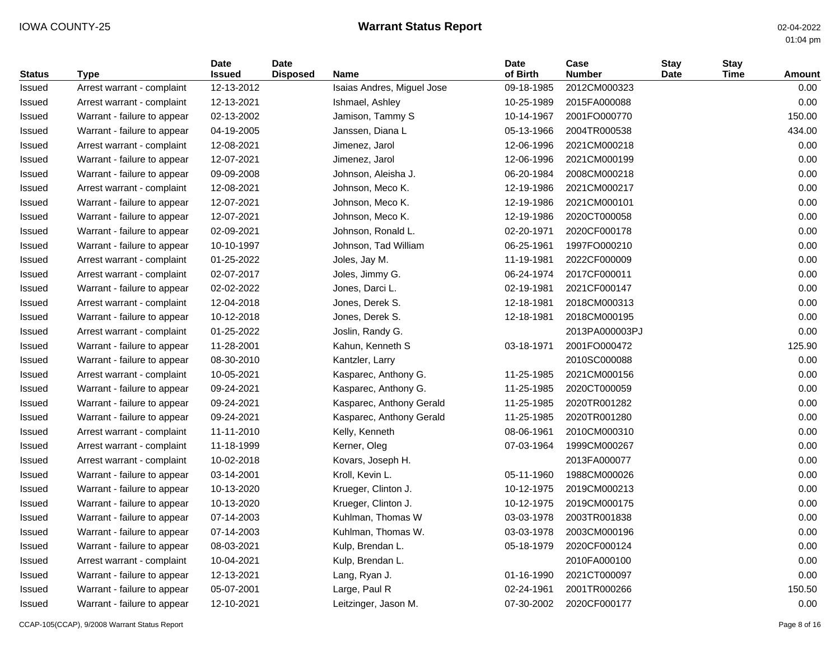| <b>Status</b> | <b>Type</b>                 | <b>Date</b><br><b>Issued</b> | <b>Date</b><br><b>Disposed</b> | <b>Name</b>                | <b>Date</b><br>of Birth | Case<br><b>Number</b> | <b>Stay</b><br>Date | <b>Stay</b><br>Time | <b>Amount</b> |
|---------------|-----------------------------|------------------------------|--------------------------------|----------------------------|-------------------------|-----------------------|---------------------|---------------------|---------------|
| Issued        | Arrest warrant - complaint  | 12-13-2012                   |                                | Isaias Andres, Miguel Jose | 09-18-1985              | 2012CM000323          |                     |                     | 0.00          |
| Issued        | Arrest warrant - complaint  | 12-13-2021                   |                                | Ishmael, Ashley            | 10-25-1989              | 2015FA000088          |                     |                     | 0.00          |
| Issued        | Warrant - failure to appear | 02-13-2002                   |                                | Jamison, Tammy S           | 10-14-1967              | 2001FO000770          |                     |                     | 150.00        |
| Issued        | Warrant - failure to appear | 04-19-2005                   |                                | Janssen, Diana L           | 05-13-1966              | 2004TR000538          |                     |                     | 434.00        |
| Issued        | Arrest warrant - complaint  | 12-08-2021                   |                                | Jimenez, Jarol             | 12-06-1996              | 2021CM000218          |                     |                     | 0.00          |
| Issued        | Warrant - failure to appear | 12-07-2021                   |                                | Jimenez, Jarol             | 12-06-1996              | 2021CM000199          |                     |                     | 0.00          |
| Issued        | Warrant - failure to appear | 09-09-2008                   |                                | Johnson, Aleisha J.        | 06-20-1984              | 2008CM000218          |                     |                     | 0.00          |
| Issued        | Arrest warrant - complaint  | 12-08-2021                   |                                | Johnson, Meco K.           | 12-19-1986              | 2021CM000217          |                     |                     | 0.00          |
| Issued        | Warrant - failure to appear | 12-07-2021                   |                                | Johnson, Meco K.           | 12-19-1986              | 2021CM000101          |                     |                     | 0.00          |
| Issued        | Warrant - failure to appear | 12-07-2021                   |                                | Johnson, Meco K.           | 12-19-1986              | 2020CT000058          |                     |                     | 0.00          |
| Issued        | Warrant - failure to appear | 02-09-2021                   |                                | Johnson, Ronald L.         | 02-20-1971              | 2020CF000178          |                     |                     | 0.00          |
| Issued        | Warrant - failure to appear | 10-10-1997                   |                                | Johnson, Tad William       | 06-25-1961              | 1997FO000210          |                     |                     | 0.00          |
| Issued        | Arrest warrant - complaint  | 01-25-2022                   |                                | Joles, Jay M.              | 11-19-1981              | 2022CF000009          |                     |                     | 0.00          |
| Issued        | Arrest warrant - complaint  | 02-07-2017                   |                                | Joles, Jimmy G.            | 06-24-1974              | 2017CF000011          |                     |                     | 0.00          |
| Issued        | Warrant - failure to appear | 02-02-2022                   |                                | Jones, Darci L.            | 02-19-1981              | 2021CF000147          |                     |                     | 0.00          |
| Issued        | Arrest warrant - complaint  | 12-04-2018                   |                                | Jones, Derek S.            | 12-18-1981              | 2018CM000313          |                     |                     | 0.00          |
| Issued        | Warrant - failure to appear | 10-12-2018                   |                                | Jones, Derek S.            | 12-18-1981              | 2018CM000195          |                     |                     | 0.00          |
| Issued        | Arrest warrant - complaint  | 01-25-2022                   |                                | Joslin, Randy G.           |                         | 2013PA000003PJ        |                     |                     | 0.00          |
| Issued        | Warrant - failure to appear | 11-28-2001                   |                                | Kahun, Kenneth S           | 03-18-1971              | 2001FO000472          |                     |                     | 125.90        |
| Issued        | Warrant - failure to appear | 08-30-2010                   |                                | Kantzler, Larry            |                         | 2010SC000088          |                     |                     | 0.00          |
| Issued        | Arrest warrant - complaint  | 10-05-2021                   |                                | Kasparec, Anthony G.       | 11-25-1985              | 2021CM000156          |                     |                     | 0.00          |
| Issued        | Warrant - failure to appear | 09-24-2021                   |                                | Kasparec, Anthony G.       | 11-25-1985              | 2020CT000059          |                     |                     | 0.00          |
| Issued        | Warrant - failure to appear | 09-24-2021                   |                                | Kasparec, Anthony Gerald   | 11-25-1985              | 2020TR001282          |                     |                     | 0.00          |
| Issued        | Warrant - failure to appear | 09-24-2021                   |                                | Kasparec, Anthony Gerald   | 11-25-1985              | 2020TR001280          |                     |                     | 0.00          |
| Issued        | Arrest warrant - complaint  | 11-11-2010                   |                                | Kelly, Kenneth             | 08-06-1961              | 2010CM000310          |                     |                     | 0.00          |
| Issued        | Arrest warrant - complaint  | 11-18-1999                   |                                | Kerner, Oleg               | 07-03-1964              | 1999CM000267          |                     |                     | 0.00          |
| Issued        | Arrest warrant - complaint  | 10-02-2018                   |                                | Kovars, Joseph H.          |                         | 2013FA000077          |                     |                     | 0.00          |
| Issued        | Warrant - failure to appear | 03-14-2001                   |                                | Kroll, Kevin L.            | 05-11-1960              | 1988CM000026          |                     |                     | 0.00          |
| Issued        | Warrant - failure to appear | 10-13-2020                   |                                | Krueger, Clinton J.        | 10-12-1975              | 2019CM000213          |                     |                     | 0.00          |
| Issued        | Warrant - failure to appear | 10-13-2020                   |                                | Krueger, Clinton J.        | 10-12-1975              | 2019CM000175          |                     |                     | 0.00          |
| Issued        | Warrant - failure to appear | 07-14-2003                   |                                | Kuhlman, Thomas W          | 03-03-1978              | 2003TR001838          |                     |                     | 0.00          |
| Issued        | Warrant - failure to appear | 07-14-2003                   |                                | Kuhlman, Thomas W.         | 03-03-1978              | 2003CM000196          |                     |                     | 0.00          |
| Issued        | Warrant - failure to appear | 08-03-2021                   |                                | Kulp, Brendan L.           | 05-18-1979              | 2020CF000124          |                     |                     | 0.00          |
| Issued        | Arrest warrant - complaint  | 10-04-2021                   |                                | Kulp, Brendan L.           |                         | 2010FA000100          |                     |                     | 0.00          |
| Issued        | Warrant - failure to appear | 12-13-2021                   |                                | Lang, Ryan J.              | 01-16-1990              | 2021CT000097          |                     |                     | 0.00          |
| Issued        | Warrant - failure to appear | 05-07-2001                   |                                | Large, Paul R              | 02-24-1961              | 2001TR000266          |                     |                     | 150.50        |
| Issued        | Warrant - failure to appear | 12-10-2021                   |                                | Leitzinger, Jason M.       | 07-30-2002              | 2020CF000177          |                     |                     | 0.00          |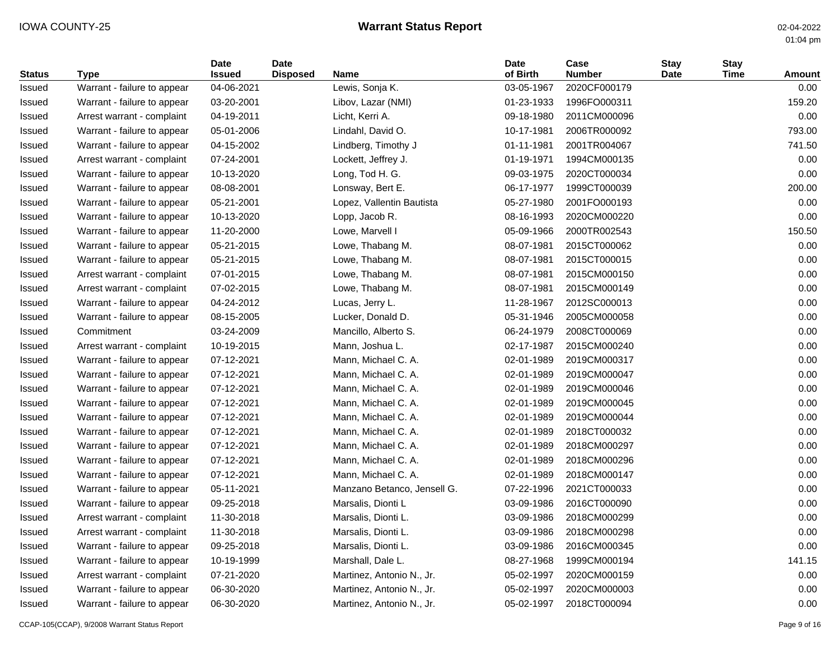| <b>Status</b> | <b>Type</b>                 | <b>Date</b><br><b>Issued</b> | <b>Date</b><br><b>Disposed</b> | Name                        | <b>Date</b><br>of Birth | Case<br><b>Number</b> | <b>Stay</b><br><b>Date</b> | <b>Stay</b><br>Time | <b>Amount</b> |
|---------------|-----------------------------|------------------------------|--------------------------------|-----------------------------|-------------------------|-----------------------|----------------------------|---------------------|---------------|
| Issued        | Warrant - failure to appear | 04-06-2021                   |                                | Lewis, Sonja K.             | 03-05-1967              | 2020CF000179          |                            |                     | 0.00          |
| Issued        | Warrant - failure to appear | 03-20-2001                   |                                | Libov, Lazar (NMI)          | 01-23-1933              | 1996FO000311          |                            |                     | 159.20        |
| Issued        | Arrest warrant - complaint  | 04-19-2011                   |                                | Licht, Kerri A.             | 09-18-1980              | 2011CM000096          |                            |                     | 0.00          |
| Issued        | Warrant - failure to appear | 05-01-2006                   |                                | Lindahl, David O.           | 10-17-1981              | 2006TR000092          |                            |                     | 793.00        |
| Issued        | Warrant - failure to appear | 04-15-2002                   |                                | Lindberg, Timothy J         | 01-11-1981              | 2001TR004067          |                            |                     | 741.50        |
| Issued        | Arrest warrant - complaint  | 07-24-2001                   |                                | Lockett, Jeffrey J.         | 01-19-1971              | 1994CM000135          |                            |                     | 0.00          |
| Issued        | Warrant - failure to appear | 10-13-2020                   |                                | Long, Tod H. G.             | 09-03-1975              | 2020CT000034          |                            |                     | 0.00          |
| Issued        | Warrant - failure to appear | 08-08-2001                   |                                | Lonsway, Bert E.            | 06-17-1977              | 1999CT000039          |                            |                     | 200.00        |
| Issued        | Warrant - failure to appear | 05-21-2001                   |                                | Lopez, Vallentin Bautista   | 05-27-1980              | 2001FO000193          |                            |                     | 0.00          |
| Issued        | Warrant - failure to appear | 10-13-2020                   |                                | Lopp, Jacob R.              | 08-16-1993              | 2020CM000220          |                            |                     | 0.00          |
| Issued        | Warrant - failure to appear | 11-20-2000                   |                                | Lowe, Marvell I             | 05-09-1966              | 2000TR002543          |                            |                     | 150.50        |
| Issued        | Warrant - failure to appear | 05-21-2015                   |                                | Lowe, Thabang M.            | 08-07-1981              | 2015CT000062          |                            |                     | 0.00          |
| Issued        | Warrant - failure to appear | 05-21-2015                   |                                | Lowe, Thabang M.            | 08-07-1981              | 2015CT000015          |                            |                     | 0.00          |
| Issued        | Arrest warrant - complaint  | 07-01-2015                   |                                | Lowe, Thabang M.            | 08-07-1981              | 2015CM000150          |                            |                     | 0.00          |
| Issued        | Arrest warrant - complaint  | 07-02-2015                   |                                | Lowe, Thabang M.            | 08-07-1981              | 2015CM000149          |                            |                     | 0.00          |
| Issued        | Warrant - failure to appear | 04-24-2012                   |                                | Lucas, Jerry L.             | 11-28-1967              | 2012SC000013          |                            |                     | 0.00          |
| Issued        | Warrant - failure to appear | 08-15-2005                   |                                | Lucker, Donald D.           | 05-31-1946              | 2005CM000058          |                            |                     | 0.00          |
| Issued        | Commitment                  | 03-24-2009                   |                                | Mancillo, Alberto S.        | 06-24-1979              | 2008CT000069          |                            |                     | 0.00          |
| Issued        | Arrest warrant - complaint  | 10-19-2015                   |                                | Mann, Joshua L.             | 02-17-1987              | 2015CM000240          |                            |                     | 0.00          |
| Issued        | Warrant - failure to appear | 07-12-2021                   |                                | Mann, Michael C. A.         | 02-01-1989              | 2019CM000317          |                            |                     | 0.00          |
| Issued        | Warrant - failure to appear | 07-12-2021                   |                                | Mann, Michael C. A.         | 02-01-1989              | 2019CM000047          |                            |                     | 0.00          |
| Issued        | Warrant - failure to appear | 07-12-2021                   |                                | Mann, Michael C. A.         | 02-01-1989              | 2019CM000046          |                            |                     | 0.00          |
| Issued        | Warrant - failure to appear | 07-12-2021                   |                                | Mann, Michael C. A.         | 02-01-1989              | 2019CM000045          |                            |                     | 0.00          |
| Issued        | Warrant - failure to appear | 07-12-2021                   |                                | Mann, Michael C. A.         | 02-01-1989              | 2019CM000044          |                            |                     | 0.00          |
| Issued        | Warrant - failure to appear | 07-12-2021                   |                                | Mann, Michael C. A.         | 02-01-1989              | 2018CT000032          |                            |                     | 0.00          |
| Issued        | Warrant - failure to appear | 07-12-2021                   |                                | Mann, Michael C. A.         | 02-01-1989              | 2018CM000297          |                            |                     | 0.00          |
| Issued        | Warrant - failure to appear | 07-12-2021                   |                                | Mann, Michael C. A.         | 02-01-1989              | 2018CM000296          |                            |                     | 0.00          |
| Issued        | Warrant - failure to appear | 07-12-2021                   |                                | Mann, Michael C. A.         | 02-01-1989              | 2018CM000147          |                            |                     | 0.00          |
| Issued        | Warrant - failure to appear | 05-11-2021                   |                                | Manzano Betanco, Jensell G. | 07-22-1996              | 2021CT000033          |                            |                     | 0.00          |
| Issued        | Warrant - failure to appear | 09-25-2018                   |                                | Marsalis, Dionti L          | 03-09-1986              | 2016CT000090          |                            |                     | 0.00          |
| Issued        | Arrest warrant - complaint  | 11-30-2018                   |                                | Marsalis, Dionti L.         | 03-09-1986              | 2018CM000299          |                            |                     | 0.00          |
| Issued        | Arrest warrant - complaint  | 11-30-2018                   |                                | Marsalis, Dionti L.         | 03-09-1986              | 2018CM000298          |                            |                     | 0.00          |
| Issued        | Warrant - failure to appear | 09-25-2018                   |                                | Marsalis, Dionti L.         | 03-09-1986              | 2016CM000345          |                            |                     | 0.00          |
| Issued        | Warrant - failure to appear | 10-19-1999                   |                                | Marshall, Dale L.           | 08-27-1968              | 1999CM000194          |                            |                     | 141.15        |
| Issued        | Arrest warrant - complaint  | 07-21-2020                   |                                | Martinez, Antonio N., Jr.   | 05-02-1997              | 2020CM000159          |                            |                     | 0.00          |
| Issued        | Warrant - failure to appear | 06-30-2020                   |                                | Martinez, Antonio N., Jr.   | 05-02-1997              | 2020CM000003          |                            |                     | 0.00          |
| Issued        | Warrant - failure to appear | 06-30-2020                   |                                | Martinez, Antonio N., Jr.   | 05-02-1997              | 2018CT000094          |                            |                     | 0.00          |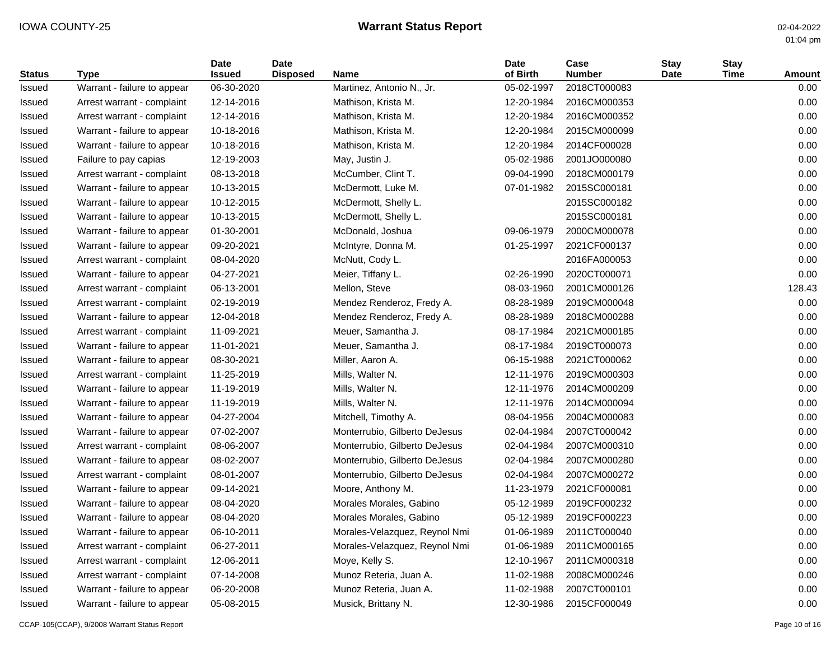| <b>Status</b> | <b>Type</b>                 | <b>Date</b><br><b>Issued</b> | <b>Date</b><br><b>Disposed</b> | Name                          | <b>Date</b><br>of Birth | Case<br><b>Number</b> | <b>Stay</b><br><b>Date</b> | <b>Stay</b><br>Time | <b>Amount</b> |
|---------------|-----------------------------|------------------------------|--------------------------------|-------------------------------|-------------------------|-----------------------|----------------------------|---------------------|---------------|
| Issued        | Warrant - failure to appear | 06-30-2020                   |                                | Martinez, Antonio N., Jr.     | 05-02-1997              | 2018CT000083          |                            |                     | 0.00          |
| Issued        | Arrest warrant - complaint  | 12-14-2016                   |                                | Mathison, Krista M.           | 12-20-1984              | 2016CM000353          |                            |                     | 0.00          |
| Issued        | Arrest warrant - complaint  | 12-14-2016                   |                                | Mathison, Krista M.           | 12-20-1984              | 2016CM000352          |                            |                     | 0.00          |
| Issued        | Warrant - failure to appear | 10-18-2016                   |                                | Mathison, Krista M.           | 12-20-1984              | 2015CM000099          |                            |                     | 0.00          |
| Issued        | Warrant - failure to appear | 10-18-2016                   |                                | Mathison, Krista M.           | 12-20-1984              | 2014CF000028          |                            |                     | 0.00          |
| Issued        | Failure to pay capias       | 12-19-2003                   |                                | May, Justin J.                | 05-02-1986              | 2001JO000080          |                            |                     | 0.00          |
| Issued        | Arrest warrant - complaint  | 08-13-2018                   |                                | McCumber, Clint T.            | 09-04-1990              | 2018CM000179          |                            |                     | 0.00          |
| Issued        | Warrant - failure to appear | 10-13-2015                   |                                | McDermott, Luke M.            | 07-01-1982              | 2015SC000181          |                            |                     | 0.00          |
| Issued        | Warrant - failure to appear | 10-12-2015                   |                                | McDermott, Shelly L.          |                         | 2015SC000182          |                            |                     | 0.00          |
| Issued        | Warrant - failure to appear | 10-13-2015                   |                                | McDermott, Shelly L.          |                         | 2015SC000181          |                            |                     | 0.00          |
| Issued        | Warrant - failure to appear | 01-30-2001                   |                                | McDonald, Joshua              | 09-06-1979              | 2000CM000078          |                            |                     | 0.00          |
| Issued        | Warrant - failure to appear | 09-20-2021                   |                                | McIntyre, Donna M.            | 01-25-1997              | 2021CF000137          |                            |                     | 0.00          |
| Issued        | Arrest warrant - complaint  | 08-04-2020                   |                                | McNutt, Cody L.               |                         | 2016FA000053          |                            |                     | 0.00          |
| Issued        | Warrant - failure to appear | 04-27-2021                   |                                | Meier, Tiffany L.             | 02-26-1990              | 2020CT000071          |                            |                     | 0.00          |
| Issued        | Arrest warrant - complaint  | 06-13-2001                   |                                | Mellon, Steve                 | 08-03-1960              | 2001CM000126          |                            |                     | 128.43        |
| Issued        | Arrest warrant - complaint  | 02-19-2019                   |                                | Mendez Renderoz, Fredy A.     | 08-28-1989              | 2019CM000048          |                            |                     | 0.00          |
| Issued        | Warrant - failure to appear | 12-04-2018                   |                                | Mendez Renderoz, Fredy A.     | 08-28-1989              | 2018CM000288          |                            |                     | 0.00          |
| Issued        | Arrest warrant - complaint  | 11-09-2021                   |                                | Meuer, Samantha J.            | 08-17-1984              | 2021CM000185          |                            |                     | 0.00          |
| Issued        | Warrant - failure to appear | 11-01-2021                   |                                | Meuer, Samantha J.            | 08-17-1984              | 2019CT000073          |                            |                     | 0.00          |
| Issued        | Warrant - failure to appear | 08-30-2021                   |                                | Miller, Aaron A.              | 06-15-1988              | 2021CT000062          |                            |                     | 0.00          |
| Issued        | Arrest warrant - complaint  | 11-25-2019                   |                                | Mills, Walter N.              | 12-11-1976              | 2019CM000303          |                            |                     | 0.00          |
| Issued        | Warrant - failure to appear | 11-19-2019                   |                                | Mills, Walter N.              | 12-11-1976              | 2014CM000209          |                            |                     | 0.00          |
| Issued        | Warrant - failure to appear | 11-19-2019                   |                                | Mills, Walter N.              | 12-11-1976              | 2014CM000094          |                            |                     | 0.00          |
| Issued        | Warrant - failure to appear | 04-27-2004                   |                                | Mitchell, Timothy A.          | 08-04-1956              | 2004CM000083          |                            |                     | 0.00          |
| Issued        | Warrant - failure to appear | 07-02-2007                   |                                | Monterrubio, Gilberto DeJesus | 02-04-1984              | 2007CT000042          |                            |                     | 0.00          |
| Issued        | Arrest warrant - complaint  | 08-06-2007                   |                                | Monterrubio, Gilberto DeJesus | 02-04-1984              | 2007CM000310          |                            |                     | 0.00          |
| Issued        | Warrant - failure to appear | 08-02-2007                   |                                | Monterrubio, Gilberto DeJesus | 02-04-1984              | 2007CM000280          |                            |                     | 0.00          |
| Issued        | Arrest warrant - complaint  | 08-01-2007                   |                                | Monterrubio, Gilberto DeJesus | 02-04-1984              | 2007CM000272          |                            |                     | 0.00          |
| Issued        | Warrant - failure to appear | 09-14-2021                   |                                | Moore, Anthony M.             | 11-23-1979              | 2021CF000081          |                            |                     | 0.00          |
| Issued        | Warrant - failure to appear | 08-04-2020                   |                                | Morales Morales, Gabino       | 05-12-1989              | 2019CF000232          |                            |                     | 0.00          |
| Issued        | Warrant - failure to appear | 08-04-2020                   |                                | Morales Morales, Gabino       | 05-12-1989              | 2019CF000223          |                            |                     | 0.00          |
| Issued        | Warrant - failure to appear | 06-10-2011                   |                                | Morales-Velazquez, Reynol Nmi | 01-06-1989              | 2011CT000040          |                            |                     | 0.00          |
| Issued        | Arrest warrant - complaint  | 06-27-2011                   |                                | Morales-Velazquez, Reynol Nmi | 01-06-1989              | 2011CM000165          |                            |                     | 0.00          |
| Issued        | Arrest warrant - complaint  | 12-06-2011                   |                                | Moye, Kelly S.                | 12-10-1967              | 2011CM000318          |                            |                     | 0.00          |
| Issued        | Arrest warrant - complaint  | 07-14-2008                   |                                | Munoz Reteria, Juan A.        | 11-02-1988              | 2008CM000246          |                            |                     | 0.00          |
| Issued        | Warrant - failure to appear | 06-20-2008                   |                                | Munoz Reteria, Juan A.        | 11-02-1988              | 2007CT000101          |                            |                     | 0.00          |
| Issued        | Warrant - failure to appear | 05-08-2015                   |                                | Musick, Brittany N.           | 12-30-1986              | 2015CF000049          |                            |                     | 0.00          |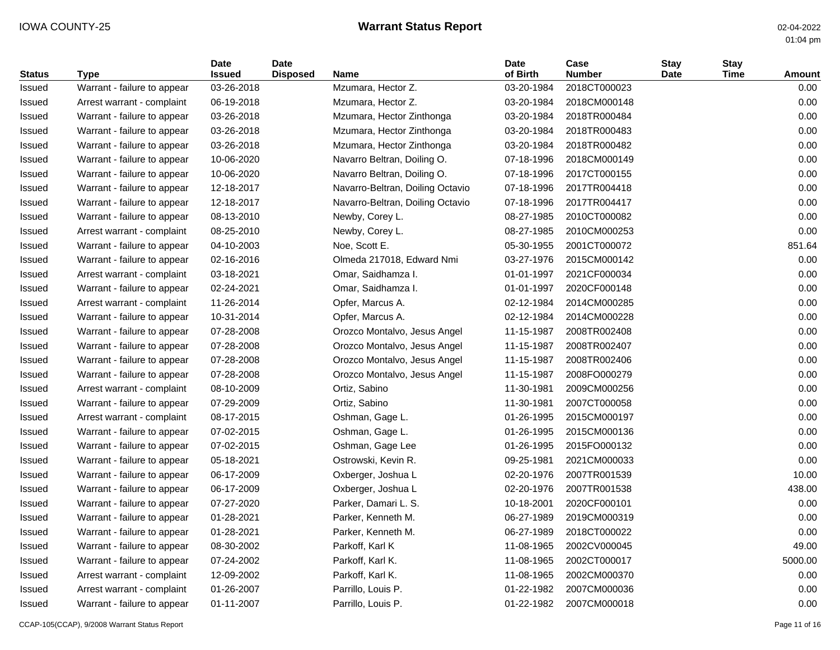01:04 pm

| <b>Status</b> | <b>Type</b>                 | Date<br><b>Issued</b> | <b>Date</b><br><b>Disposed</b> | Name                             | <b>Date</b><br>of Birth | Case<br><b>Number</b> | <b>Stay</b><br><b>Date</b> | <b>Stay</b><br><b>Time</b> | <b>Amount</b> |
|---------------|-----------------------------|-----------------------|--------------------------------|----------------------------------|-------------------------|-----------------------|----------------------------|----------------------------|---------------|
| Issued        | Warrant - failure to appear | 03-26-2018            |                                | Mzumara, Hector Z.               | 03-20-1984              | 2018CT000023          |                            |                            | 0.00          |
| Issued        | Arrest warrant - complaint  | 06-19-2018            |                                | Mzumara, Hector Z.               | 03-20-1984              | 2018CM000148          |                            |                            | 0.00          |
| Issued        | Warrant - failure to appear | 03-26-2018            |                                | Mzumara, Hector Zinthonga        | 03-20-1984              | 2018TR000484          |                            |                            | 0.00          |
| Issued        | Warrant - failure to appear | 03-26-2018            |                                | Mzumara, Hector Zinthonga        | 03-20-1984              | 2018TR000483          |                            |                            | 0.00          |
| Issued        | Warrant - failure to appear | 03-26-2018            |                                | Mzumara, Hector Zinthonga        | 03-20-1984              | 2018TR000482          |                            |                            | 0.00          |
| Issued        | Warrant - failure to appear | 10-06-2020            |                                | Navarro Beltran, Doiling O.      | 07-18-1996              | 2018CM000149          |                            |                            | 0.00          |
| Issued        | Warrant - failure to appear | 10-06-2020            |                                | Navarro Beltran, Doiling O.      | 07-18-1996              | 2017CT000155          |                            |                            | 0.00          |
| Issued        | Warrant - failure to appear | 12-18-2017            |                                | Navarro-Beltran, Doiling Octavio | 07-18-1996              | 2017TR004418          |                            |                            | 0.00          |
| Issued        | Warrant - failure to appear | 12-18-2017            |                                | Navarro-Beltran, Doiling Octavio | 07-18-1996              | 2017TR004417          |                            |                            | 0.00          |
| Issued        | Warrant - failure to appear | 08-13-2010            |                                | Newby, Corey L.                  | 08-27-1985              | 2010CT000082          |                            |                            | 0.00          |
| Issued        | Arrest warrant - complaint  | 08-25-2010            |                                | Newby, Corey L.                  | 08-27-1985              | 2010CM000253          |                            |                            | 0.00          |
| Issued        | Warrant - failure to appear | 04-10-2003            |                                | Noe, Scott E.                    | 05-30-1955              | 2001CT000072          |                            |                            | 851.64        |
| Issued        | Warrant - failure to appear | 02-16-2016            |                                | Olmeda 217018, Edward Nmi        | 03-27-1976              | 2015CM000142          |                            |                            | 0.00          |
| Issued        | Arrest warrant - complaint  | 03-18-2021            |                                | Omar, Saidhamza I.               | 01-01-1997              | 2021CF000034          |                            |                            | 0.00          |
| Issued        | Warrant - failure to appear | 02-24-2021            |                                | Omar, Saidhamza I.               | 01-01-1997              | 2020CF000148          |                            |                            | 0.00          |
| Issued        | Arrest warrant - complaint  | 11-26-2014            |                                | Opfer, Marcus A.                 | 02-12-1984              | 2014CM000285          |                            |                            | 0.00          |
| Issued        | Warrant - failure to appear | 10-31-2014            |                                | Opfer, Marcus A.                 | 02-12-1984              | 2014CM000228          |                            |                            | 0.00          |
| Issued        | Warrant - failure to appear | 07-28-2008            |                                | Orozco Montalvo, Jesus Angel     | 11-15-1987              | 2008TR002408          |                            |                            | 0.00          |
| Issued        | Warrant - failure to appear | 07-28-2008            |                                | Orozco Montalvo, Jesus Angel     | 11-15-1987              | 2008TR002407          |                            |                            | 0.00          |
| Issued        | Warrant - failure to appear | 07-28-2008            |                                | Orozco Montalvo, Jesus Angel     | 11-15-1987              | 2008TR002406          |                            |                            | 0.00          |
| Issued        | Warrant - failure to appear | 07-28-2008            |                                | Orozco Montalvo, Jesus Angel     | 11-15-1987              | 2008FO000279          |                            |                            | 0.00          |
| Issued        | Arrest warrant - complaint  | 08-10-2009            |                                | Ortiz, Sabino                    | 11-30-1981              | 2009CM000256          |                            |                            | 0.00          |
| Issued        | Warrant - failure to appear | 07-29-2009            |                                | Ortiz, Sabino                    | 11-30-1981              | 2007CT000058          |                            |                            | 0.00          |
| Issued        | Arrest warrant - complaint  | 08-17-2015            |                                | Oshman, Gage L.                  | 01-26-1995              | 2015CM000197          |                            |                            | 0.00          |
| Issued        | Warrant - failure to appear | 07-02-2015            |                                | Oshman, Gage L.                  | 01-26-1995              | 2015CM000136          |                            |                            | 0.00          |
| Issued        | Warrant - failure to appear | 07-02-2015            |                                | Oshman, Gage Lee                 | 01-26-1995              | 2015FO000132          |                            |                            | 0.00          |
| Issued        | Warrant - failure to appear | 05-18-2021            |                                | Ostrowski, Kevin R.              | 09-25-1981              | 2021CM000033          |                            |                            | 0.00          |
| Issued        | Warrant - failure to appear | 06-17-2009            |                                | Oxberger, Joshua L               | 02-20-1976              | 2007TR001539          |                            |                            | 10.00         |
| Issued        | Warrant - failure to appear | 06-17-2009            |                                | Oxberger, Joshua L               | 02-20-1976              | 2007TR001538          |                            |                            | 438.00        |
| Issued        | Warrant - failure to appear | 07-27-2020            |                                | Parker, Damari L. S.             | 10-18-2001              | 2020CF000101          |                            |                            | 0.00          |
| Issued        | Warrant - failure to appear | 01-28-2021            |                                | Parker, Kenneth M.               | 06-27-1989              | 2019CM000319          |                            |                            | 0.00          |
| Issued        | Warrant - failure to appear | 01-28-2021            |                                | Parker, Kenneth M.               | 06-27-1989              | 2018CT000022          |                            |                            | 0.00          |
| Issued        | Warrant - failure to appear | 08-30-2002            |                                | Parkoff, Karl K                  | 11-08-1965              | 2002CV000045          |                            |                            | 49.00         |
| Issued        | Warrant - failure to appear | 07-24-2002            |                                | Parkoff, Karl K.                 | 11-08-1965              | 2002CT000017          |                            |                            | 5000.00       |
| Issued        | Arrest warrant - complaint  | 12-09-2002            |                                | Parkoff, Karl K.                 | 11-08-1965              | 2002CM000370          |                            |                            | 0.00          |
| Issued        | Arrest warrant - complaint  | 01-26-2007            |                                | Parrillo, Louis P.               | 01-22-1982              | 2007CM000036          |                            |                            | 0.00          |
| Issued        | Warrant - failure to appear | 01-11-2007            |                                | Parrillo, Louis P.               | 01-22-1982              | 2007CM000018          |                            |                            | 0.00          |

CCAP-105(CCAP), 9/2008 Warrant Status Report Page 11 of 16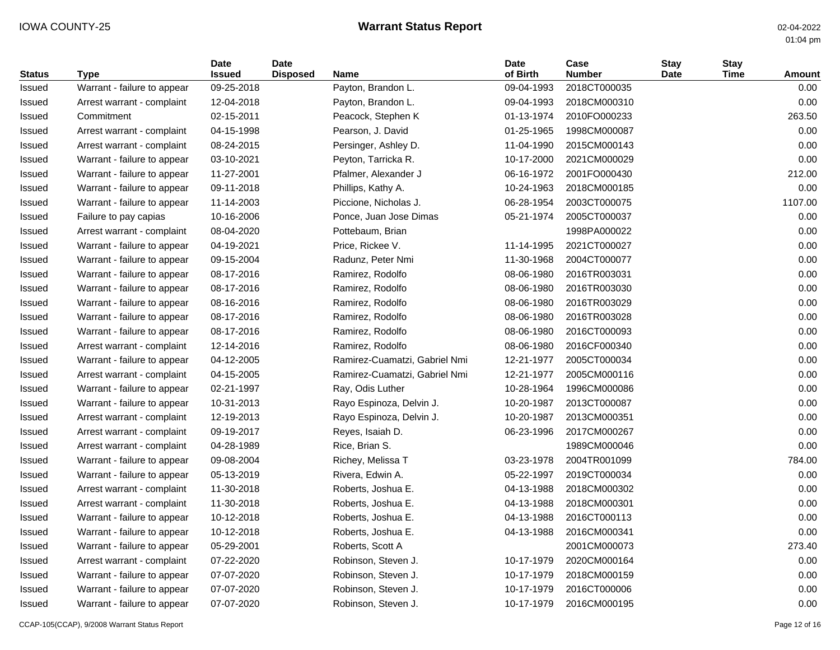| <b>Status</b> | <b>Type</b>                 | <b>Date</b><br><b>Issued</b> | <b>Date</b><br><b>Disposed</b> | <b>Name</b>                   | <b>Date</b><br>of Birth | Case<br><b>Number</b> | <b>Stay</b><br><b>Date</b> | <b>Stay</b><br><b>Time</b> | <b>Amount</b> |
|---------------|-----------------------------|------------------------------|--------------------------------|-------------------------------|-------------------------|-----------------------|----------------------------|----------------------------|---------------|
| Issued        | Warrant - failure to appear | 09-25-2018                   |                                | Payton, Brandon L.            | 09-04-1993              | 2018CT000035          |                            |                            | 0.00          |
| Issued        | Arrest warrant - complaint  | 12-04-2018                   |                                | Payton, Brandon L.            | 09-04-1993              | 2018CM000310          |                            |                            | 0.00          |
| Issued        | Commitment                  | 02-15-2011                   |                                | Peacock, Stephen K            | 01-13-1974              | 2010FO000233          |                            |                            | 263.50        |
| Issued        | Arrest warrant - complaint  | 04-15-1998                   |                                | Pearson, J. David             | 01-25-1965              | 1998CM000087          |                            |                            | 0.00          |
| Issued        | Arrest warrant - complaint  | 08-24-2015                   |                                | Persinger, Ashley D.          | 11-04-1990              | 2015CM000143          |                            |                            | 0.00          |
| Issued        | Warrant - failure to appear | 03-10-2021                   |                                | Peyton, Tarricka R.           | 10-17-2000              | 2021CM000029          |                            |                            | 0.00          |
| Issued        | Warrant - failure to appear | 11-27-2001                   |                                | Pfalmer, Alexander J          | 06-16-1972              | 2001FO000430          |                            |                            | 212.00        |
| Issued        | Warrant - failure to appear | 09-11-2018                   |                                | Phillips, Kathy A.            | 10-24-1963              | 2018CM000185          |                            |                            | 0.00          |
| Issued        | Warrant - failure to appear | 11-14-2003                   |                                | Piccione, Nicholas J.         | 06-28-1954              | 2003CT000075          |                            |                            | 1107.00       |
| Issued        | Failure to pay capias       | 10-16-2006                   |                                | Ponce, Juan Jose Dimas        | 05-21-1974              | 2005CT000037          |                            |                            | 0.00          |
| Issued        | Arrest warrant - complaint  | 08-04-2020                   |                                | Pottebaum, Brian              |                         | 1998PA000022          |                            |                            | 0.00          |
| Issued        | Warrant - failure to appear | 04-19-2021                   |                                | Price, Rickee V.              | 11-14-1995              | 2021CT000027          |                            |                            | 0.00          |
| Issued        | Warrant - failure to appear | 09-15-2004                   |                                | Radunz, Peter Nmi             | 11-30-1968              | 2004CT000077          |                            |                            | 0.00          |
| Issued        | Warrant - failure to appear | 08-17-2016                   |                                | Ramirez, Rodolfo              | 08-06-1980              | 2016TR003031          |                            |                            | 0.00          |
| Issued        | Warrant - failure to appear | 08-17-2016                   |                                | Ramirez, Rodolfo              | 08-06-1980              | 2016TR003030          |                            |                            | 0.00          |
| Issued        | Warrant - failure to appear | 08-16-2016                   |                                | Ramirez, Rodolfo              | 08-06-1980              | 2016TR003029          |                            |                            | 0.00          |
| Issued        | Warrant - failure to appear | 08-17-2016                   |                                | Ramirez, Rodolfo              | 08-06-1980              | 2016TR003028          |                            |                            | 0.00          |
| Issued        | Warrant - failure to appear | 08-17-2016                   |                                | Ramirez, Rodolfo              | 08-06-1980              | 2016CT000093          |                            |                            | 0.00          |
| Issued        | Arrest warrant - complaint  | 12-14-2016                   |                                | Ramirez, Rodolfo              | 08-06-1980              | 2016CF000340          |                            |                            | 0.00          |
| Issued        | Warrant - failure to appear | 04-12-2005                   |                                | Ramirez-Cuamatzi, Gabriel Nmi | 12-21-1977              | 2005CT000034          |                            |                            | 0.00          |
| Issued        | Arrest warrant - complaint  | 04-15-2005                   |                                | Ramirez-Cuamatzi, Gabriel Nmi | 12-21-1977              | 2005CM000116          |                            |                            | 0.00          |
| Issued        | Warrant - failure to appear | 02-21-1997                   |                                | Ray, Odis Luther              | 10-28-1964              | 1996CM000086          |                            |                            | 0.00          |
| Issued        | Warrant - failure to appear | 10-31-2013                   |                                | Rayo Espinoza, Delvin J.      | 10-20-1987              | 2013CT000087          |                            |                            | 0.00          |
| Issued        | Arrest warrant - complaint  | 12-19-2013                   |                                | Rayo Espinoza, Delvin J.      | 10-20-1987              | 2013CM000351          |                            |                            | 0.00          |
| Issued        | Arrest warrant - complaint  | 09-19-2017                   |                                | Reyes, Isaiah D.              | 06-23-1996              | 2017CM000267          |                            |                            | 0.00          |
| Issued        | Arrest warrant - complaint  | 04-28-1989                   |                                | Rice, Brian S.                |                         | 1989CM000046          |                            |                            | 0.00          |
| Issued        | Warrant - failure to appear | 09-08-2004                   |                                | Richey, Melissa T             | 03-23-1978              | 2004TR001099          |                            |                            | 784.00        |
| Issued        | Warrant - failure to appear | 05-13-2019                   |                                | Rivera, Edwin A.              | 05-22-1997              | 2019CT000034          |                            |                            | 0.00          |
| Issued        | Arrest warrant - complaint  | 11-30-2018                   |                                | Roberts, Joshua E.            | 04-13-1988              | 2018CM000302          |                            |                            | 0.00          |
| Issued        | Arrest warrant - complaint  | 11-30-2018                   |                                | Roberts, Joshua E.            | 04-13-1988              | 2018CM000301          |                            |                            | 0.00          |
| Issued        | Warrant - failure to appear | 10-12-2018                   |                                | Roberts, Joshua E.            | 04-13-1988              | 2016CT000113          |                            |                            | 0.00          |
| Issued        | Warrant - failure to appear | 10-12-2018                   |                                | Roberts, Joshua E.            | 04-13-1988              | 2016CM000341          |                            |                            | 0.00          |
| Issued        | Warrant - failure to appear | 05-29-2001                   |                                | Roberts, Scott A              |                         | 2001CM000073          |                            |                            | 273.40        |
| Issued        | Arrest warrant - complaint  | 07-22-2020                   |                                | Robinson, Steven J.           | 10-17-1979              | 2020CM000164          |                            |                            | 0.00          |
| Issued        | Warrant - failure to appear | 07-07-2020                   |                                | Robinson, Steven J.           | 10-17-1979              | 2018CM000159          |                            |                            | 0.00          |
| Issued        | Warrant - failure to appear | 07-07-2020                   |                                | Robinson, Steven J.           | 10-17-1979              | 2016CT000006          |                            |                            | 0.00          |
| Issued        | Warrant - failure to appear | 07-07-2020                   |                                | Robinson, Steven J.           | 10-17-1979              | 2016CM000195          |                            |                            | 0.00          |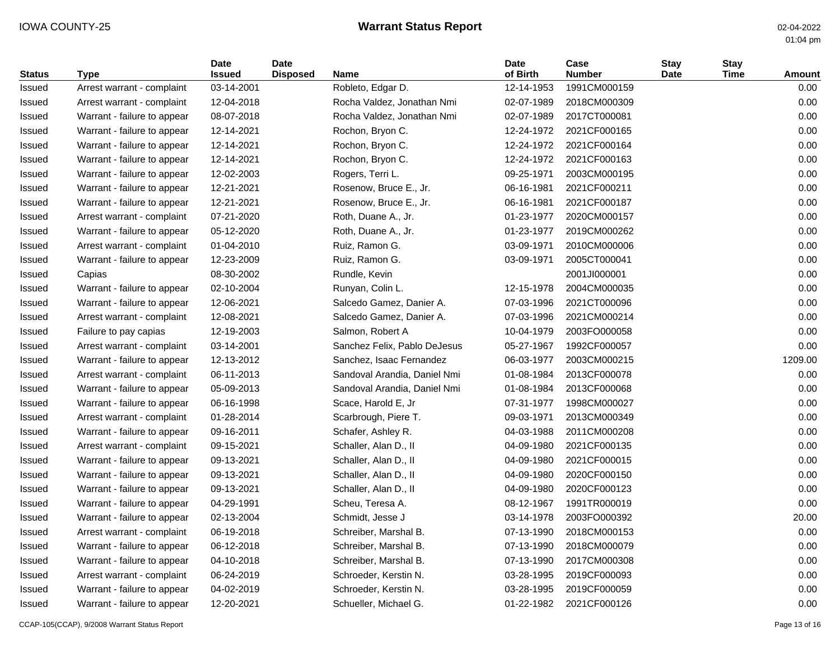01:04 pm

| <b>Status</b> | <b>Type</b>                 | <b>Date</b><br><b>Issued</b> | <b>Date</b><br><b>Disposed</b> | <b>Name</b>                  | <b>Date</b><br>of Birth | Case<br><b>Number</b> | <b>Stay</b><br><b>Date</b> | <b>Stay</b><br><b>Time</b> | <b>Amount</b> |
|---------------|-----------------------------|------------------------------|--------------------------------|------------------------------|-------------------------|-----------------------|----------------------------|----------------------------|---------------|
| Issued        | Arrest warrant - complaint  | 03-14-2001                   |                                | Robleto, Edgar D.            | 12-14-1953              | 1991CM000159          |                            |                            | 0.00          |
| Issued        | Arrest warrant - complaint  | 12-04-2018                   |                                | Rocha Valdez, Jonathan Nmi   | 02-07-1989              | 2018CM000309          |                            |                            | 0.00          |
| Issued        | Warrant - failure to appear | 08-07-2018                   |                                | Rocha Valdez, Jonathan Nmi   | 02-07-1989              | 2017CT000081          |                            |                            | 0.00          |
| Issued        | Warrant - failure to appear | 12-14-2021                   |                                | Rochon, Bryon C.             | 12-24-1972              | 2021CF000165          |                            |                            | 0.00          |
| Issued        | Warrant - failure to appear | 12-14-2021                   |                                | Rochon, Bryon C.             | 12-24-1972              | 2021CF000164          |                            |                            | 0.00          |
| Issued        | Warrant - failure to appear | 12-14-2021                   |                                | Rochon, Bryon C.             | 12-24-1972              | 2021CF000163          |                            |                            | 0.00          |
| Issued        | Warrant - failure to appear | 12-02-2003                   |                                | Rogers, Terri L.             | 09-25-1971              | 2003CM000195          |                            |                            | 0.00          |
| Issued        | Warrant - failure to appear | 12-21-2021                   |                                | Rosenow, Bruce E., Jr.       | 06-16-1981              | 2021CF000211          |                            |                            | 0.00          |
| Issued        | Warrant - failure to appear | 12-21-2021                   |                                | Rosenow, Bruce E., Jr.       | 06-16-1981              | 2021CF000187          |                            |                            | 0.00          |
| Issued        | Arrest warrant - complaint  | 07-21-2020                   |                                | Roth, Duane A., Jr.          | 01-23-1977              | 2020CM000157          |                            |                            | 0.00          |
| Issued        | Warrant - failure to appear | 05-12-2020                   |                                | Roth, Duane A., Jr.          | 01-23-1977              | 2019CM000262          |                            |                            | 0.00          |
| Issued        | Arrest warrant - complaint  | 01-04-2010                   |                                | Ruiz, Ramon G.               | 03-09-1971              | 2010CM000006          |                            |                            | 0.00          |
| Issued        | Warrant - failure to appear | 12-23-2009                   |                                | Ruiz, Ramon G.               | 03-09-1971              | 2005CT000041          |                            |                            | 0.00          |
| Issued        | Capias                      | 08-30-2002                   |                                | Rundle, Kevin                |                         | 2001JI000001          |                            |                            | 0.00          |
| Issued        | Warrant - failure to appear | 02-10-2004                   |                                | Runyan, Colin L.             | 12-15-1978              | 2004CM000035          |                            |                            | 0.00          |
| Issued        | Warrant - failure to appear | 12-06-2021                   |                                | Salcedo Gamez, Danier A.     | 07-03-1996              | 2021CT000096          |                            |                            | 0.00          |
| Issued        | Arrest warrant - complaint  | 12-08-2021                   |                                | Salcedo Gamez, Danier A.     | 07-03-1996              | 2021CM000214          |                            |                            | 0.00          |
| Issued        | Failure to pay capias       | 12-19-2003                   |                                | Salmon, Robert A             | 10-04-1979              | 2003FO000058          |                            |                            | 0.00          |
| Issued        | Arrest warrant - complaint  | 03-14-2001                   |                                | Sanchez Felix, Pablo DeJesus | 05-27-1967              | 1992CF000057          |                            |                            | 0.00          |
| Issued        | Warrant - failure to appear | 12-13-2012                   |                                | Sanchez, Isaac Fernandez     | 06-03-1977              | 2003CM000215          |                            |                            | 1209.00       |
| Issued        | Arrest warrant - complaint  | 06-11-2013                   |                                | Sandoval Arandia, Daniel Nmi | 01-08-1984              | 2013CF000078          |                            |                            | 0.00          |
| Issued        | Warrant - failure to appear | 05-09-2013                   |                                | Sandoval Arandia, Daniel Nmi | 01-08-1984              | 2013CF000068          |                            |                            | 0.00          |
| Issued        | Warrant - failure to appear | 06-16-1998                   |                                | Scace, Harold E, Jr          | 07-31-1977              | 1998CM000027          |                            |                            | 0.00          |
| Issued        | Arrest warrant - complaint  | 01-28-2014                   |                                | Scarbrough, Piere T.         | 09-03-1971              | 2013CM000349          |                            |                            | 0.00          |
| Issued        | Warrant - failure to appear | 09-16-2011                   |                                | Schafer, Ashley R.           | 04-03-1988              | 2011CM000208          |                            |                            | 0.00          |
| Issued        | Arrest warrant - complaint  | 09-15-2021                   |                                | Schaller, Alan D., II        | 04-09-1980              | 2021CF000135          |                            |                            | 0.00          |
| Issued        | Warrant - failure to appear | 09-13-2021                   |                                | Schaller, Alan D., II        | 04-09-1980              | 2021CF000015          |                            |                            | 0.00          |
| Issued        | Warrant - failure to appear | 09-13-2021                   |                                | Schaller, Alan D., II        | 04-09-1980              | 2020CF000150          |                            |                            | 0.00          |
| Issued        | Warrant - failure to appear | 09-13-2021                   |                                | Schaller, Alan D., II        | 04-09-1980              | 2020CF000123          |                            |                            | 0.00          |
| Issued        | Warrant - failure to appear | 04-29-1991                   |                                | Scheu, Teresa A.             | 08-12-1967              | 1991TR000019          |                            |                            | 0.00          |
| Issued        | Warrant - failure to appear | 02-13-2004                   |                                | Schmidt, Jesse J             | 03-14-1978              | 2003FO000392          |                            |                            | 20.00         |
| Issued        | Arrest warrant - complaint  | 06-19-2018                   |                                | Schreiber, Marshal B.        | 07-13-1990              | 2018CM000153          |                            |                            | 0.00          |
| Issued        | Warrant - failure to appear | 06-12-2018                   |                                | Schreiber, Marshal B.        | 07-13-1990              | 2018CM000079          |                            |                            | 0.00          |
| Issued        | Warrant - failure to appear | 04-10-2018                   |                                | Schreiber, Marshal B.        | 07-13-1990              | 2017CM000308          |                            |                            | 0.00          |
| Issued        | Arrest warrant - complaint  | 06-24-2019                   |                                | Schroeder, Kerstin N.        | 03-28-1995              | 2019CF000093          |                            |                            | 0.00          |
| Issued        | Warrant - failure to appear | 04-02-2019                   |                                | Schroeder, Kerstin N.        | 03-28-1995              | 2019CF000059          |                            |                            | 0.00          |
| Issued        | Warrant - failure to appear | 12-20-2021                   |                                | Schueller, Michael G.        | 01-22-1982              | 2021CF000126          |                            |                            | 0.00          |

CCAP-105(CCAP), 9/2008 Warrant Status Report Page 13 of 16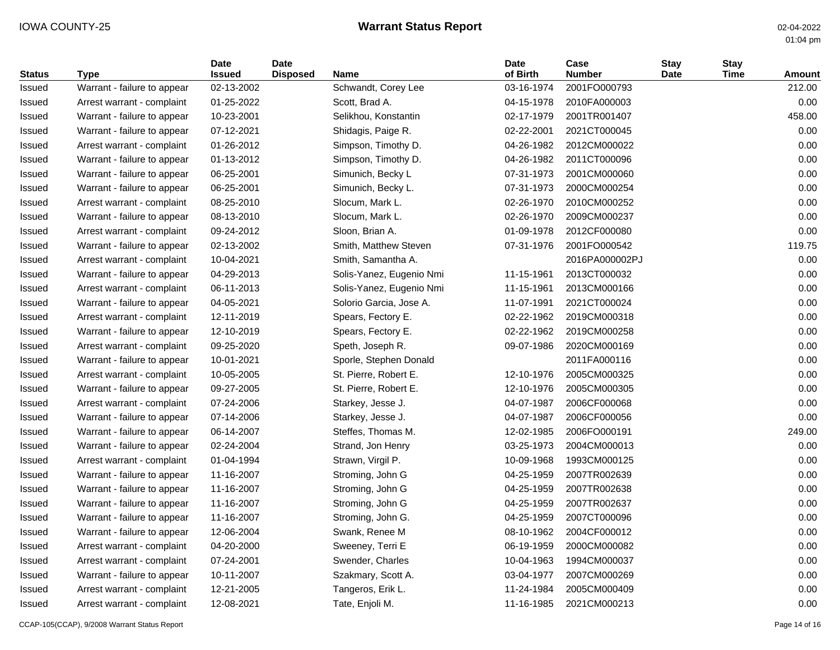| <b>Status</b> | <b>Type</b>                 | <b>Date</b><br><b>Issued</b> | <b>Date</b><br><b>Disposed</b> | Name                     | <b>Date</b><br>of Birth | Case<br><b>Number</b> | <b>Stay</b><br><b>Date</b> | <b>Stay</b><br>Time | <b>Amount</b> |
|---------------|-----------------------------|------------------------------|--------------------------------|--------------------------|-------------------------|-----------------------|----------------------------|---------------------|---------------|
| Issued        | Warrant - failure to appear | 02-13-2002                   |                                | Schwandt, Corey Lee      | 03-16-1974              | 2001FO000793          |                            |                     | 212.00        |
| Issued        | Arrest warrant - complaint  | 01-25-2022                   |                                | Scott, Brad A.           | 04-15-1978              | 2010FA000003          |                            |                     | 0.00          |
| Issued        | Warrant - failure to appear | 10-23-2001                   |                                | Selikhou, Konstantin     | 02-17-1979              | 2001TR001407          |                            |                     | 458.00        |
| Issued        | Warrant - failure to appear | 07-12-2021                   |                                | Shidagis, Paige R.       | 02-22-2001              | 2021CT000045          |                            |                     | 0.00          |
| Issued        | Arrest warrant - complaint  | 01-26-2012                   |                                | Simpson, Timothy D.      | 04-26-1982              | 2012CM000022          |                            |                     | 0.00          |
| Issued        | Warrant - failure to appear | 01-13-2012                   |                                | Simpson, Timothy D.      | 04-26-1982              | 2011CT000096          |                            |                     | 0.00          |
| Issued        | Warrant - failure to appear | 06-25-2001                   |                                | Simunich, Becky L        | 07-31-1973              | 2001CM000060          |                            |                     | 0.00          |
| Issued        | Warrant - failure to appear | 06-25-2001                   |                                | Simunich, Becky L.       | 07-31-1973              | 2000CM000254          |                            |                     | 0.00          |
| Issued        | Arrest warrant - complaint  | 08-25-2010                   |                                | Slocum, Mark L.          | 02-26-1970              | 2010CM000252          |                            |                     | 0.00          |
| Issued        | Warrant - failure to appear | 08-13-2010                   |                                | Slocum, Mark L.          | 02-26-1970              | 2009CM000237          |                            |                     | 0.00          |
| Issued        | Arrest warrant - complaint  | 09-24-2012                   |                                | Sloon, Brian A.          | 01-09-1978              | 2012CF000080          |                            |                     | 0.00          |
| Issued        | Warrant - failure to appear | 02-13-2002                   |                                | Smith, Matthew Steven    | 07-31-1976              | 2001FO000542          |                            |                     | 119.75        |
| Issued        | Arrest warrant - complaint  | 10-04-2021                   |                                | Smith, Samantha A.       |                         | 2016PA000002PJ        |                            |                     | 0.00          |
| Issued        | Warrant - failure to appear | 04-29-2013                   |                                | Solis-Yanez, Eugenio Nmi | 11-15-1961              | 2013CT000032          |                            |                     | 0.00          |
| Issued        | Arrest warrant - complaint  | 06-11-2013                   |                                | Solis-Yanez, Eugenio Nmi | 11-15-1961              | 2013CM000166          |                            |                     | 0.00          |
| Issued        | Warrant - failure to appear | 04-05-2021                   |                                | Solorio Garcia, Jose A.  | 11-07-1991              | 2021CT000024          |                            |                     | 0.00          |
| Issued        | Arrest warrant - complaint  | 12-11-2019                   |                                | Spears, Fectory E.       | 02-22-1962              | 2019CM000318          |                            |                     | 0.00          |
| Issued        | Warrant - failure to appear | 12-10-2019                   |                                | Spears, Fectory E.       | 02-22-1962              | 2019CM000258          |                            |                     | 0.00          |
| Issued        | Arrest warrant - complaint  | 09-25-2020                   |                                | Speth, Joseph R.         | 09-07-1986              | 2020CM000169          |                            |                     | 0.00          |
| Issued        | Warrant - failure to appear | 10-01-2021                   |                                | Sporle, Stephen Donald   |                         | 2011FA000116          |                            |                     | 0.00          |
| Issued        | Arrest warrant - complaint  | 10-05-2005                   |                                | St. Pierre, Robert E.    | 12-10-1976              | 2005CM000325          |                            |                     | 0.00          |
| Issued        | Warrant - failure to appear | 09-27-2005                   |                                | St. Pierre, Robert E.    | 12-10-1976              | 2005CM000305          |                            |                     | 0.00          |
| Issued        | Arrest warrant - complaint  | 07-24-2006                   |                                | Starkey, Jesse J.        | 04-07-1987              | 2006CF000068          |                            |                     | 0.00          |
| Issued        | Warrant - failure to appear | 07-14-2006                   |                                | Starkey, Jesse J.        | 04-07-1987              | 2006CF000056          |                            |                     | 0.00          |
| Issued        | Warrant - failure to appear | 06-14-2007                   |                                | Steffes, Thomas M.       | 12-02-1985              | 2006FO000191          |                            |                     | 249.00        |
| Issued        | Warrant - failure to appear | 02-24-2004                   |                                | Strand, Jon Henry        | 03-25-1973              | 2004CM000013          |                            |                     | 0.00          |
| Issued        | Arrest warrant - complaint  | 01-04-1994                   |                                | Strawn, Virgil P.        | 10-09-1968              | 1993CM000125          |                            |                     | 0.00          |
| Issued        | Warrant - failure to appear | 11-16-2007                   |                                | Stroming, John G         | 04-25-1959              | 2007TR002639          |                            |                     | 0.00          |
| Issued        | Warrant - failure to appear | 11-16-2007                   |                                | Stroming, John G         | 04-25-1959              | 2007TR002638          |                            |                     | 0.00          |
| Issued        | Warrant - failure to appear | 11-16-2007                   |                                | Stroming, John G         | 04-25-1959              | 2007TR002637          |                            |                     | 0.00          |
| Issued        | Warrant - failure to appear | 11-16-2007                   |                                | Stroming, John G.        | 04-25-1959              | 2007CT000096          |                            |                     | 0.00          |
| Issued        | Warrant - failure to appear | 12-06-2004                   |                                | Swank, Renee M           | 08-10-1962              | 2004CF000012          |                            |                     | 0.00          |
| Issued        | Arrest warrant - complaint  | 04-20-2000                   |                                | Sweeney, Terri E         | 06-19-1959              | 2000CM000082          |                            |                     | 0.00          |
| Issued        | Arrest warrant - complaint  | 07-24-2001                   |                                | Swender, Charles         | 10-04-1963              | 1994CM000037          |                            |                     | 0.00          |
| Issued        | Warrant - failure to appear | 10-11-2007                   |                                | Szakmary, Scott A.       | 03-04-1977              | 2007CM000269          |                            |                     | 0.00          |
| Issued        | Arrest warrant - complaint  | 12-21-2005                   |                                | Tangeros, Erik L.        | 11-24-1984              | 2005CM000409          |                            |                     | 0.00          |
| Issued        | Arrest warrant - complaint  | 12-08-2021                   |                                | Tate, Enjoli M.          | 11-16-1985              | 2021CM000213          |                            |                     | 0.00          |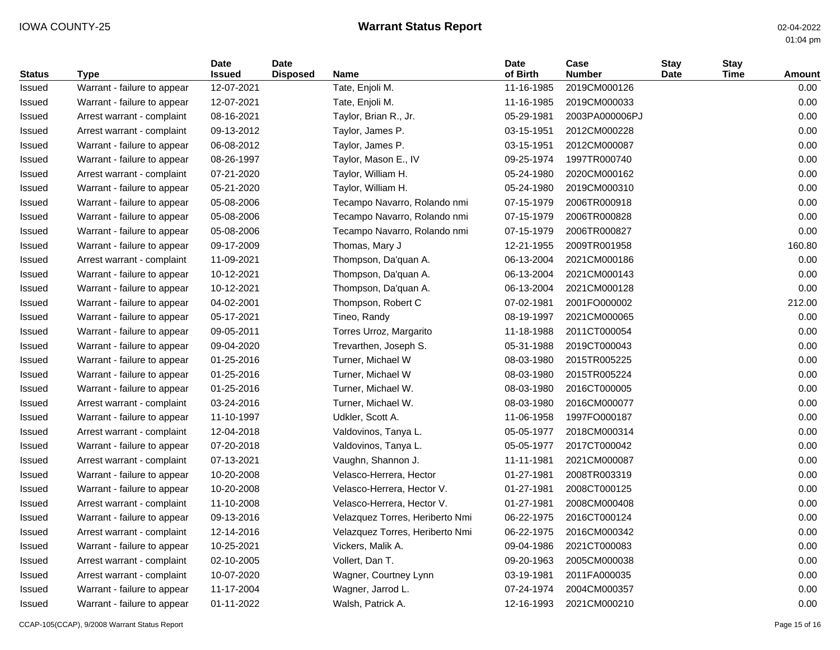| <b>Status</b> | Type                        | Date<br><b>Issued</b> | <b>Date</b><br><b>Disposed</b> | <b>Name</b>                     | <b>Date</b><br>of Birth | Case<br><b>Number</b> | <b>Stay</b><br>Date | <b>Stay</b><br><b>Time</b> | <b>Amount</b> |
|---------------|-----------------------------|-----------------------|--------------------------------|---------------------------------|-------------------------|-----------------------|---------------------|----------------------------|---------------|
| Issued        | Warrant - failure to appear | 12-07-2021            |                                | Tate, Enjoli M.                 | 11-16-1985              | 2019CM000126          |                     |                            | 0.00          |
| Issued        | Warrant - failure to appear | 12-07-2021            |                                | Tate, Enjoli M.                 | 11-16-1985              | 2019CM000033          |                     |                            | 0.00          |
| Issued        | Arrest warrant - complaint  | 08-16-2021            |                                | Taylor, Brian R., Jr.           | 05-29-1981              | 2003PA000006PJ        |                     |                            | 0.00          |
| Issued        | Arrest warrant - complaint  | 09-13-2012            |                                | Taylor, James P.                | 03-15-1951              | 2012CM000228          |                     |                            | 0.00          |
| Issued        | Warrant - failure to appear | 06-08-2012            |                                | Taylor, James P.                | 03-15-1951              | 2012CM000087          |                     |                            | 0.00          |
| Issued        | Warrant - failure to appear | 08-26-1997            |                                | Taylor, Mason E., IV            | 09-25-1974              | 1997TR000740          |                     |                            | 0.00          |
| Issued        | Arrest warrant - complaint  | 07-21-2020            |                                | Taylor, William H.              | 05-24-1980              | 2020CM000162          |                     |                            | 0.00          |
| Issued        | Warrant - failure to appear | 05-21-2020            |                                | Taylor, William H.              | 05-24-1980              | 2019CM000310          |                     |                            | 0.00          |
| Issued        | Warrant - failure to appear | 05-08-2006            |                                | Tecampo Navarro, Rolando nmi    | 07-15-1979              | 2006TR000918          |                     |                            | 0.00          |
| Issued        | Warrant - failure to appear | 05-08-2006            |                                | Tecampo Navarro, Rolando nmi    | 07-15-1979              | 2006TR000828          |                     |                            | 0.00          |
| Issued        | Warrant - failure to appear | 05-08-2006            |                                | Tecampo Navarro, Rolando nmi    | 07-15-1979              | 2006TR000827          |                     |                            | 0.00          |
| Issued        | Warrant - failure to appear | 09-17-2009            |                                | Thomas, Mary J                  | 12-21-1955              | 2009TR001958          |                     |                            | 160.80        |
| Issued        | Arrest warrant - complaint  | 11-09-2021            |                                | Thompson, Da'quan A.            | 06-13-2004              | 2021CM000186          |                     |                            | 0.00          |
| Issued        | Warrant - failure to appear | 10-12-2021            |                                | Thompson, Da'quan A.            | 06-13-2004              | 2021CM000143          |                     |                            | 0.00          |
| Issued        | Warrant - failure to appear | 10-12-2021            |                                | Thompson, Da'quan A.            | 06-13-2004              | 2021CM000128          |                     |                            | 0.00          |
| Issued        | Warrant - failure to appear | 04-02-2001            |                                | Thompson, Robert C              | 07-02-1981              | 2001FO000002          |                     |                            | 212.00        |
| Issued        | Warrant - failure to appear | 05-17-2021            |                                | Tineo, Randy                    | 08-19-1997              | 2021CM000065          |                     |                            | 0.00          |
| Issued        | Warrant - failure to appear | 09-05-2011            |                                | Torres Urroz, Margarito         | 11-18-1988              | 2011CT000054          |                     |                            | 0.00          |
| Issued        | Warrant - failure to appear | 09-04-2020            |                                | Trevarthen, Joseph S.           | 05-31-1988              | 2019CT000043          |                     |                            | 0.00          |
| Issued        | Warrant - failure to appear | 01-25-2016            |                                | Turner, Michael W               | 08-03-1980              | 2015TR005225          |                     |                            | 0.00          |
| Issued        | Warrant - failure to appear | 01-25-2016            |                                | Turner, Michael W               | 08-03-1980              | 2015TR005224          |                     |                            | 0.00          |
| Issued        | Warrant - failure to appear | 01-25-2016            |                                | Turner, Michael W.              | 08-03-1980              | 2016CT000005          |                     |                            | 0.00          |
| Issued        | Arrest warrant - complaint  | 03-24-2016            |                                | Turner, Michael W.              | 08-03-1980              | 2016CM000077          |                     |                            | 0.00          |
| Issued        | Warrant - failure to appear | 11-10-1997            |                                | Udkler, Scott A.                | 11-06-1958              | 1997FO000187          |                     |                            | 0.00          |
| Issued        | Arrest warrant - complaint  | 12-04-2018            |                                | Valdovinos, Tanya L.            | 05-05-1977              | 2018CM000314          |                     |                            | 0.00          |
| Issued        | Warrant - failure to appear | 07-20-2018            |                                | Valdovinos, Tanya L.            | 05-05-1977              | 2017CT000042          |                     |                            | 0.00          |
| Issued        | Arrest warrant - complaint  | 07-13-2021            |                                | Vaughn, Shannon J.              | 11-11-1981              | 2021CM000087          |                     |                            | 0.00          |
| Issued        | Warrant - failure to appear | 10-20-2008            |                                | Velasco-Herrera, Hector         | 01-27-1981              | 2008TR003319          |                     |                            | 0.00          |
| Issued        | Warrant - failure to appear | 10-20-2008            |                                | Velasco-Herrera, Hector V.      | 01-27-1981              | 2008CT000125          |                     |                            | 0.00          |
| Issued        | Arrest warrant - complaint  | 11-10-2008            |                                | Velasco-Herrera, Hector V.      | 01-27-1981              | 2008CM000408          |                     |                            | 0.00          |
| Issued        | Warrant - failure to appear | 09-13-2016            |                                | Velazquez Torres, Heriberto Nmi | 06-22-1975              | 2016CT000124          |                     |                            | 0.00          |
| Issued        | Arrest warrant - complaint  | 12-14-2016            |                                | Velazquez Torres, Heriberto Nmi | 06-22-1975              | 2016CM000342          |                     |                            | 0.00          |
| Issued        | Warrant - failure to appear | 10-25-2021            |                                | Vickers, Malik A.               | 09-04-1986              | 2021CT000083          |                     |                            | 0.00          |
| Issued        | Arrest warrant - complaint  | 02-10-2005            |                                | Vollert, Dan T.                 | 09-20-1963              | 2005CM000038          |                     |                            | 0.00          |
| Issued        | Arrest warrant - complaint  | 10-07-2020            |                                | Wagner, Courtney Lynn           | 03-19-1981              | 2011FA000035          |                     |                            | 0.00          |
| Issued        | Warrant - failure to appear | 11-17-2004            |                                | Wagner, Jarrod L.               | 07-24-1974              | 2004CM000357          |                     |                            | 0.00          |
| Issued        | Warrant - failure to appear | 01-11-2022            |                                | Walsh, Patrick A.               | 12-16-1993              | 2021CM000210          |                     |                            | 0.00          |